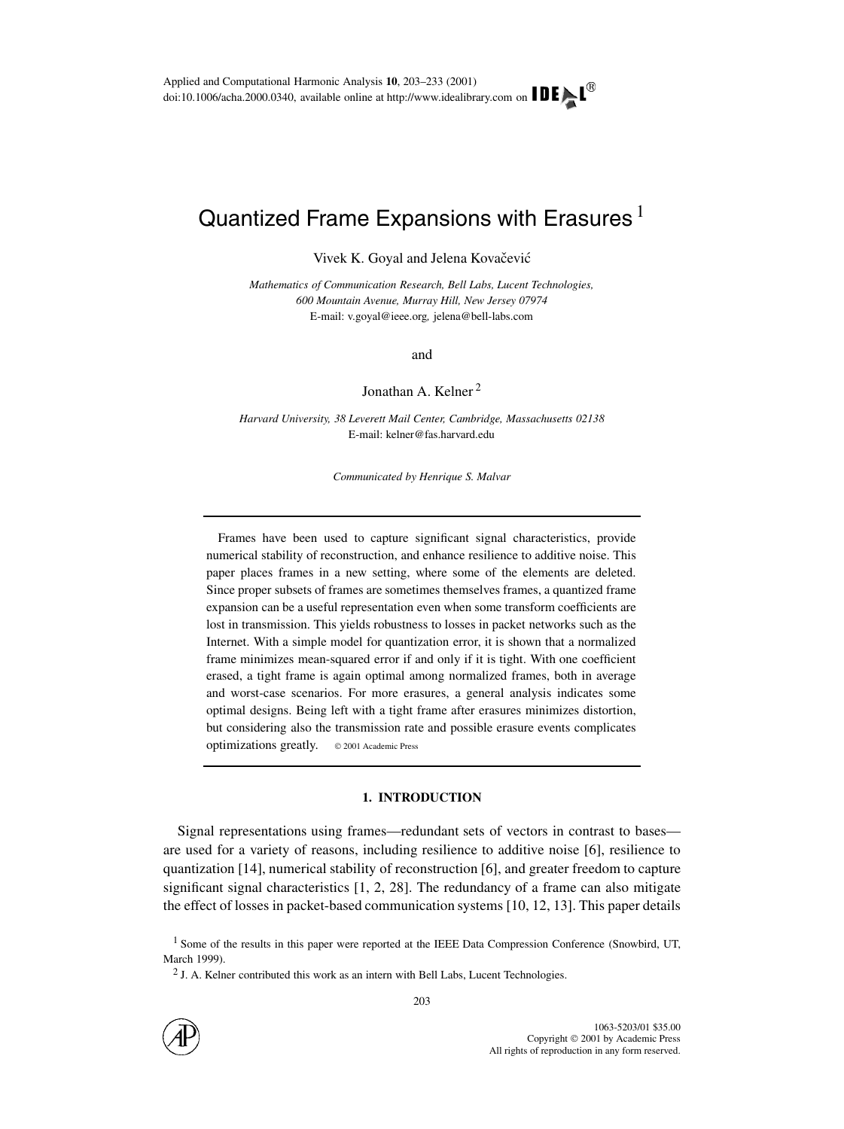# Quantized Frame Expansions with Erasures  $^1$

Vivek K. Goyal and Jelena Kovačević

*Mathematics of Communication Research, Bell Labs, Lucent Technologies, 600 Mountain Avenue, Murray Hill, New Jersey 07974* E-mail: v.goyal@ieee.org*,* jelena@bell-labs.com

and

Jonathan A. Kelner <sup>2</sup>

*Harvard University, 38 Leverett Mail Center, Cambridge, Massachusetts 02138* E-mail: kelner@fas.harvard.edu

*Communicated by Henrique S. Malvar*

Frames have been used to capture significant signal characteristics, provide numerical stability of reconstruction, and enhance resilience to additive noise. This paper places frames in a new setting, where some of the elements are deleted. Since proper subsets of frames are sometimes themselves frames, a quantized frame expansion can be a useful representation even when some transform coefficients are lost in transmission. This yields robustness to losses in packet networks such as the Internet. With a simple model for quantization error, it is shown that a normalized frame minimizes mean-squared error if and only if it is tight. With one coefficient erased, a tight frame is again optimal among normalized frames, both in average and worst-case scenarios. For more erasures, a general analysis indicates some optimal designs. Being left with a tight frame after erasures minimizes distortion, but considering also the transmission rate and possible erasure events complicates optimizations greatly.  $\circ$  2001 Academic Press

# **1. INTRODUCTION**

Signal representations using frames—redundant sets of vectors in contrast to bases are used for a variety of reasons, including resilience to additive noise [6], resilience to quantization [14], numerical stability of reconstruction [6], and greater freedom to capture significant signal characteristics  $[1, 2, 28]$ . The redundancy of a frame can also mitigate the effect of losses in packet-based communication systems [10, 12, 13]. This paper details



<sup>&</sup>lt;sup>1</sup> Some of the results in this paper were reported at the IEEE Data Compression Conference (Snowbird, UT, March 1999).

 $2$  J. A. Kelner contributed this work as an intern with Bell Labs, Lucent Technologies.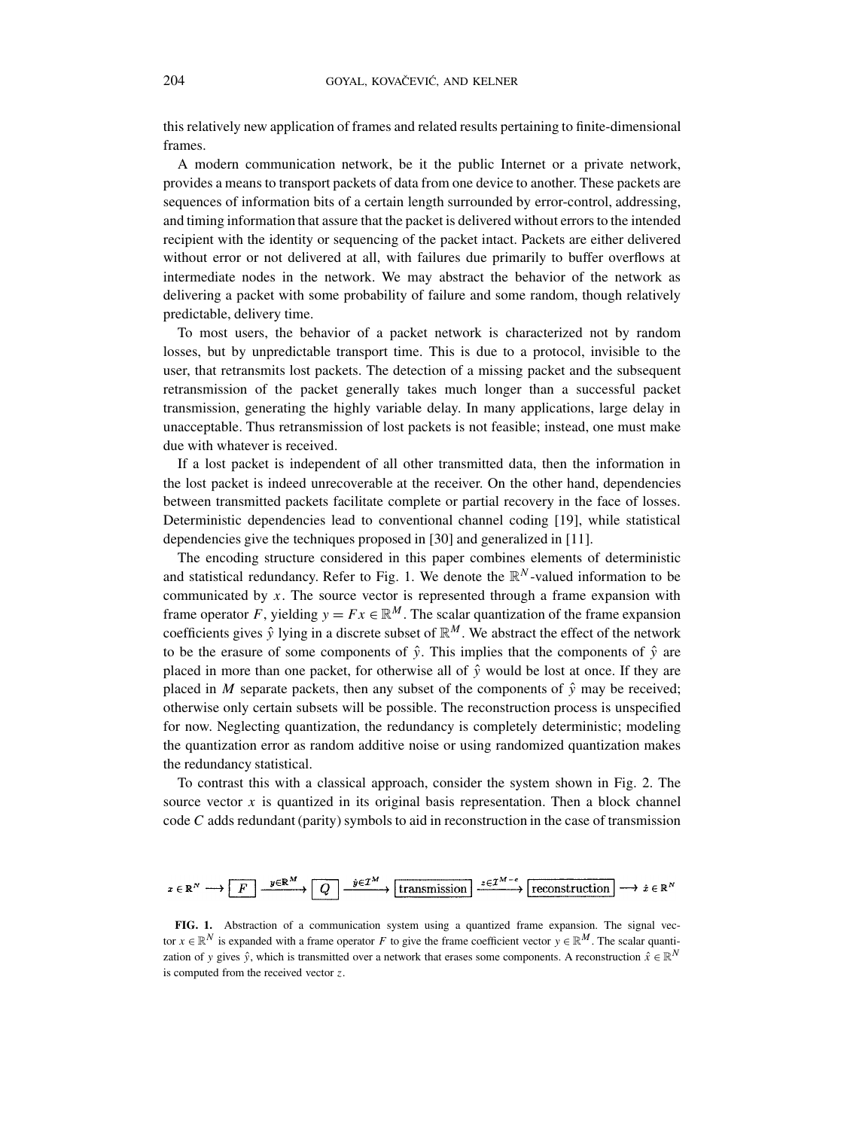this relatively new application of frames and related results pertaining to finite-dimensional frames.

A modern communication network, be it the public Internet or a private network, provides a means to transport packets of data from one device to another. These packets are sequences of information bits of a certain length surrounded by error-control, addressing, and timing information that assure that the packet is delivered without errors to the intended recipient with the identity or sequencing of the packet intact. Packets are either delivered without error or not delivered at all, with failures due primarily to buffer overflows at intermediate nodes in the network. We may abstract the behavior of the network as delivering a packet with some probability of failure and some random, though relatively predictable, delivery time.

To most users, the behavior of a packet network is characterized not by random losses, but by unpredictable transport time. This is due to a protocol, invisible to the user, that retransmits lost packets. The detection of a missing packet and the subsequent retransmission of the packet generally takes much longer than a successful packet transmission, generating the highly variable delay. In many applications, large delay in unacceptable. Thus retransmission of lost packets is not feasible; instead, one must make due with whatever is received.

If a lost packet is independent of all other transmitted data, then the information in the lost packet is indeed unrecoverable at the receiver. On the other hand, dependencies between transmitted packets facilitate complete or partial recovery in the face of losses. Deterministic dependencies lead to conventional channel coding [19], while statistical dependencies give the techniques proposed in [30] and generalized in [11].

The encoding structure considered in this paper combines elements of deterministic and statistical redundancy. Refer to Fig. 1. We denote the  $\mathbb{R}^N$ -valued information to be communicated by *x*. The source vector is represented through a frame expansion with frame operator *F*, yielding  $y = Fx \in \mathbb{R}^M$ . The scalar quantization of the frame expansion coefficients gives  $\hat{y}$  lying in a discrete subset of  $\mathbb{R}^M$ . We abstract the effect of the network to be the erasure of some components of  $\hat{y}$ . This implies that the components of  $\hat{y}$  are placed in more than one packet, for otherwise all of  $\hat{y}$  would be lost at once. If they are placed in *M* separate packets, then any subset of the components of  $\hat{y}$  may be received; otherwise only certain subsets will be possible. The reconstruction process is unspecified for now. Neglecting quantization, the redundancy is completely deterministic; modeling the quantization error as random additive noise or using randomized quantization makes the redundancy statistical.

To contrast this with a classical approach, consider the system shown in Fig. 2. The source vector  $x$  is quantized in its original basis representation. Then a block channel code *C* adds redundant (parity) symbols to aid in reconstruction in the case of transmission

$$
z \in \mathbb{R}^N \longrightarrow \boxed{F} \xrightarrow{y \in \mathbb{R}^M} \boxed{Q} \xrightarrow{\hat{y} \in \mathcal{I}^M} \text{transmission} \xrightarrow{z \in \mathcal{I}^{M-c}} \boxed{\text{reconstruction}} \longrightarrow \hat{z} \in \mathbb{R}^N
$$

**FIG. 1.** Abstraction of a communication system using a quantized frame expansion. The signal vector  $x \in \mathbb{R}^N$  is expanded with a frame operator *F* to give the frame coefficient vector  $y \in \mathbb{R}^M$ . The scalar quantization of *y* gives  $\hat{y}$ , which is transmitted over a network that erases some components. A reconstruction  $\hat{x} \in \mathbb{R}^N$ is computed from the received vector *z*.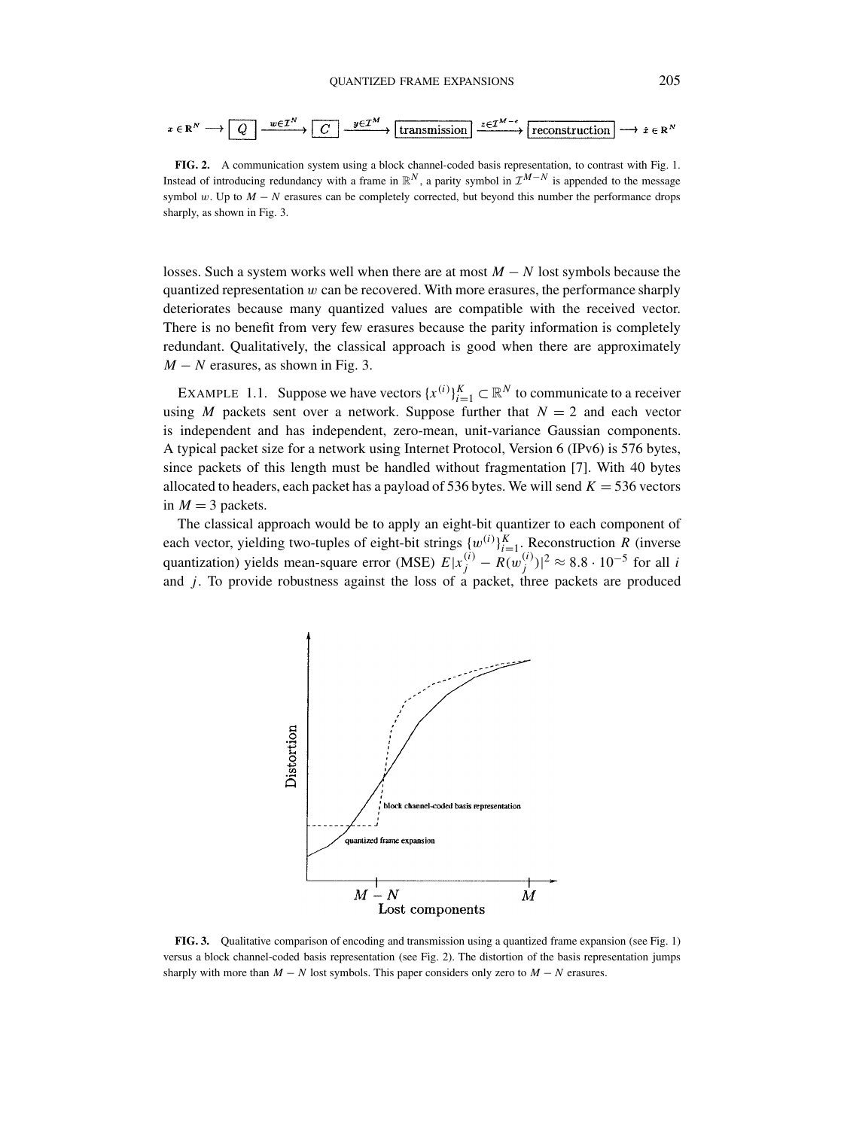$$
x \in \mathbb{R}^N \longrightarrow \boxed{Q} \xrightarrow{w \in \mathcal{I}^N} \boxed{C} \xrightarrow{y \in \mathcal{I}^M} \boxed{\text{transmission}} \xrightarrow{z \in \mathcal{I}^{M-\epsilon}} \boxed{\text{reconstruction}} \longrightarrow \hat{x} \in \mathbb{R}^N
$$

**FIG. 2.** A communication system using a block channel-coded basis representation, to contrast with Fig. 1. Instead of introducing redundancy with a frame in  $\mathbb{R}^N$ , a parity symbol in  $\mathcal{I}^{M-N}$  is appended to the message symbol *w*. Up to *M* − *N* erasures can be completely corrected, but beyond this number the performance drops sharply, as shown in Fig. 3.

losses. Such a system works well when there are at most *M* − *N* lost symbols because the quantized representation *w* can be recovered. With more erasures, the performance sharply deteriorates because many quantized values are compatible with the received vector. There is no benefit from very few erasures because the parity information is completely redundant. Qualitatively, the classical approach is good when there are approximately  $M - N$  erasures, as shown in Fig. 3.

EXAMPLE 1.1. Suppose we have vectors  $\{x^{(i)}\}_{i=1}^K \subset \mathbb{R}^N$  to communicate to a receiver using *M* packets sent over a network. Suppose further that  $N = 2$  and each vector is independent and has independent, zero-mean, unit-variance Gaussian components. A typical packet size for a network using Internet Protocol, Version 6 (IPv6) is 576 bytes, since packets of this length must be handled without fragmentation [7]. With 40 bytes allocated to headers, each packet has a payload of 536 bytes. We will send  $K = 536$  vectors in  $M = 3$  packets.

The classical approach would be to apply an eight-bit quantizer to each component of each vector, yielding two-tuples of eight-bit strings  ${w^{(i)}}_{i=1}^K$ . Reconstruction *R* (inverse quantization) yields mean-square error (MSE)  $E|x_j^{(i)} - R(w_j^{(i)})|^2 \approx 8.8 \cdot 10^{-5}$  for all *i* and *j* . To provide robustness against the loss of a packet, three packets are produced



**FIG. 3.** Qualitative comparison of encoding and transmission using a quantized frame expansion (see Fig. 1) versus a block channel-coded basis representation (see Fig. 2). The distortion of the basis representation jumps sharply with more than  $M - N$  lost symbols. This paper considers only zero to  $M - N$  erasures.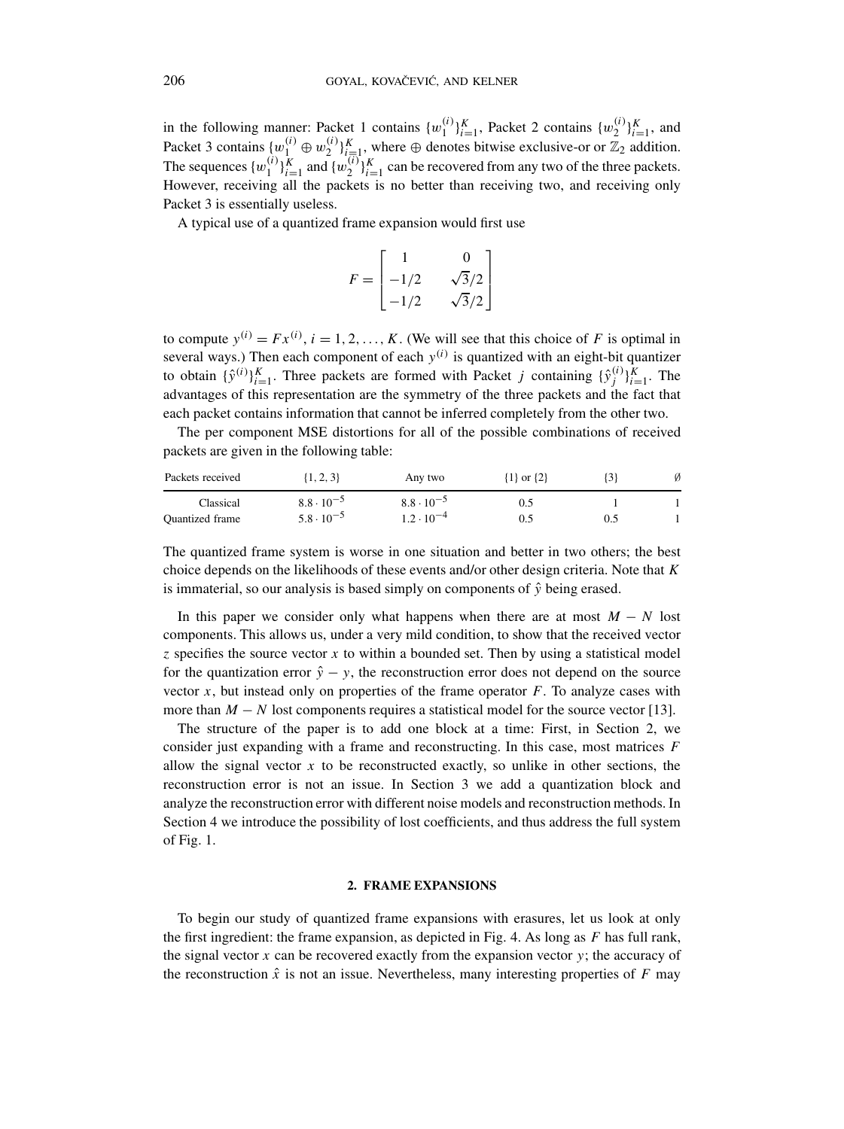in the following manner: Packet 1 contains  $\{w_1^{(i)}\}_{i=1}^K$ , Packet 2 contains  $\{w_2^{(i)}\}_{i=1}^K$ , and Packet 3 contains  $\{w_1^{(i)} \oplus w_2^{(i)}\}_{i=1}^K$ , where  $\oplus$  denotes bitwise exclusive-or or  $\mathbb{Z}_2$  addition. The sequences  $\{w_1^{(i)}\}_{i=1}^K$  and  $\{w_2^{(i)}\}_{i=1}^K$  can be recovered from any two of the three packets. However, receiving all the packets is no better than receiving two, and receiving only Packet 3 is essentially useless.

A typical use of a quantized frame expansion would first use

$$
F = \begin{bmatrix} 1 & 0 \\ -1/2 & \sqrt{3}/2 \\ -1/2 & \sqrt{3}/2 \end{bmatrix}
$$

to compute  $y^{(i)} = Fx^{(i)}$ ,  $i = 1, 2, ..., K$ . (We will see that this choice of F is optimal in several ways.) Then each component of each *y(i)* is quantized with an eight-bit quantizer to obtain  $\{\hat{y}^{(i)}\}_{i=1}^K$ . Three packets are formed with Packet *j* containing  $\{\hat{y}^{(i)}_j\}_{i=1}^K$ . The advantages of this representation are the symmetry of the three packets and the fact that each packet contains information that cannot be inferred completely from the other two.

The per component MSE distortions for all of the possible combinations of received packets are given in the following table:

| Packets received       | $\{1, 2, 3\}$       | Any two             | $\{1\}$ or $\{2\}$ |  |
|------------------------|---------------------|---------------------|--------------------|--|
| Classical              | $8.8 \cdot 10^{-5}$ | $8.8 \cdot 10^{-5}$ | 0.1                |  |
| <b>Ouantized</b> frame | $5.8 \cdot 10^{-5}$ | $1.2 \cdot 10^{-4}$ | 0.5                |  |

The quantized frame system is worse in one situation and better in two others; the best choice depends on the likelihoods of these events and/or other design criteria. Note that *K* is immaterial, so our analysis is based simply on components of  $\hat{y}$  being erased.

In this paper we consider only what happens when there are at most  $M - N$  lost components. This allows us, under a very mild condition, to show that the received vector *z* specifies the source vector *x* to within a bounded set. Then by using a statistical model for the quantization error  $\hat{y} - y$ , the reconstruction error does not depend on the source vector  $x$ , but instead only on properties of the frame operator  $F$ . To analyze cases with more than  $M - N$  lost components requires a statistical model for the source vector [13].

The structure of the paper is to add one block at a time: First, in Section 2, we consider just expanding with a frame and reconstructing. In this case, most matrices *F* allow the signal vector  $x$  to be reconstructed exactly, so unlike in other sections, the reconstruction error is not an issue. In Section 3 we add a quantization block and analyze the reconstruction error with different noise models and reconstruction methods. In Section 4 we introduce the possibility of lost coefficients, and thus address the full system of Fig. 1.

# **2. FRAME EXPANSIONS**

To begin our study of quantized frame expansions with erasures, let us look at only the first ingredient: the frame expansion, as depicted in Fig. 4. As long as *F* has full rank, the signal vector  $x$  can be recovered exactly from the expansion vector  $y$ ; the accuracy of the reconstruction  $\hat{x}$  is not an issue. Nevertheless, many interesting properties of  $F$  may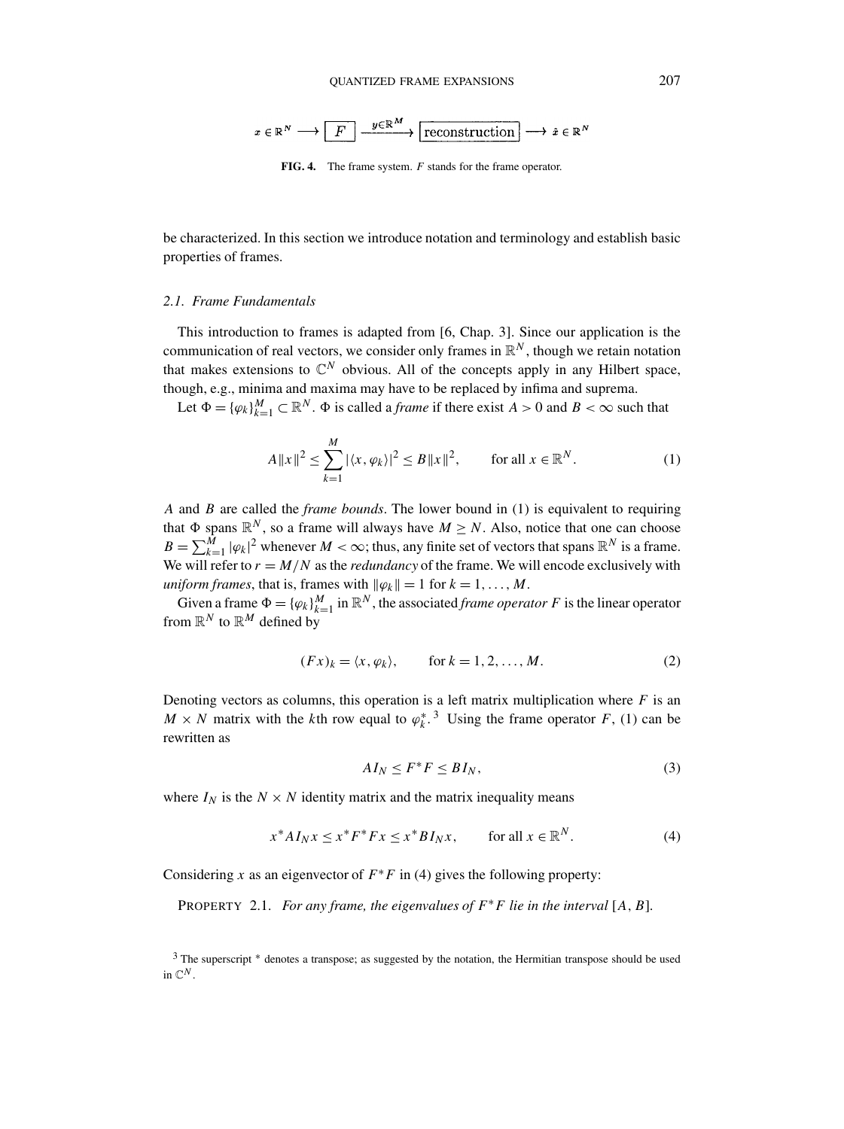$$
x\in\mathbb{R}^N\longrightarrow\boxed{F}\stackrel{y\in\mathbb{R}^M}{\longrightarrow}\boxed{\textrm{reconstruction}}\longrightarrow \hat{x}\in\mathbb{R}^N
$$

**FIG. 4.** The frame system. *F* stands for the frame operator.

be characterized. In this section we introduce notation and terminology and establish basic properties of frames.

## *2.1. Frame Fundamentals*

This introduction to frames is adapted from [6, Chap. 3]. Since our application is the communication of real vectors, we consider only frames in  $\mathbb{R}^N$ , though we retain notation that makes extensions to  $\mathbb{C}^N$  obvious. All of the concepts apply in any Hilbert space, though, e.g., minima and maxima may have to be replaced by infima and suprema.

Let  $\Phi = {\{\varphi_k\}}_{k=1}^M \subset \mathbb{R}^N$ .  $\Phi$  is called a *frame* if there exist  $A > 0$  and  $B < \infty$  such that

$$
A \|x\|^2 \le \sum_{k=1}^M |\langle x, \varphi_k \rangle|^2 \le B \|x\|^2, \qquad \text{for all } x \in \mathbb{R}^N. \tag{1}
$$

*A* and *B* are called the *frame bounds*. The lower bound in (1) is equivalent to requiring that  $\Phi$  spans  $\mathbb{R}^N$ , so a frame will always have  $M \geq N$ . Also, notice that one can choose  $B = \sum_{k=1}^{M} |\varphi_k|^2$  whenever  $M < \infty$ ; thus, any finite set of vectors that spans  $\mathbb{R}^N$  is a frame. We will refer to  $r = M/N$  as the *redundancy* of the frame. We will encode exclusively with *uniform frames, that is, frames with*  $\|\varphi_k\| = 1$  for  $k = 1, ..., M$ .

Given a frame  $\Phi = {\{\varphi_k\}}_{k=1}^M$  in  $\mathbb{R}^N$ , the associated *frame operator F* is the linear operator from  $\mathbb{R}^N$  to  $\mathbb{R}^M$  defined by

$$
(Fx)_k = \langle x, \varphi_k \rangle, \qquad \text{for } k = 1, 2, \dots, M. \tag{2}
$$

Denoting vectors as columns, this operation is a left matrix multiplication where  $F$  is an  $M \times N$  matrix with the *k*th row equal to  $\varphi_k^*$ <sup>3</sup>. Using the frame operator *F*, (1) can be rewritten as

$$
AI_N \le F^*F \le BI_N,\tag{3}
$$

where  $I_N$  is the  $N \times N$  identity matrix and the matrix inequality means

$$
x^* A I_N x \le x^* F^* F x \le x^* B I_N x, \qquad \text{for all } x \in \mathbb{R}^N. \tag{4}
$$

Considering *x* as an eigenvector of  $F^*F$  in (4) gives the following property:

PROPERTY 2.1. *For any frame, the eigenvalues of*  $F^*F$  *lie in the interval* [A, B].

<sup>&</sup>lt;sup>3</sup> The superscript \* denotes a transpose; as suggested by the notation, the Hermitian transpose should be used in  $\mathbb{C}^N$ .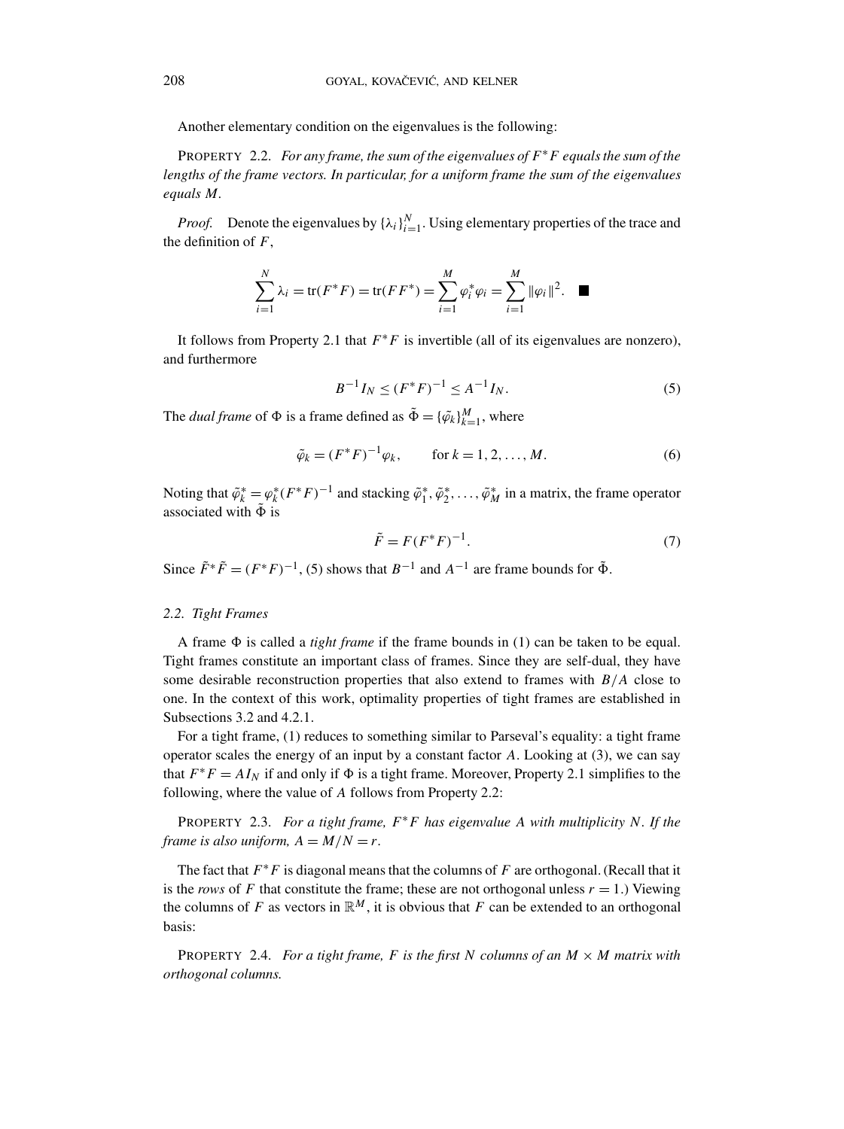Another elementary condition on the eigenvalues is the following:

PROPERTY 2.2. *For any frame, the sum of the eigenvalues of F*∗*F equals the sum of the lengths of the frame vectors. In particular, for a uniform frame the sum of the eigenvalues equals M.*

*Proof.* Denote the eigenvalues by  $\{\lambda_i\}_{i=1}^N$ . Using elementary properties of the trace and the definition of *F*,

$$
\sum_{i=1}^{N} \lambda_i = \text{tr}(F^*F) = \text{tr}(FF^*) = \sum_{i=1}^{M} \varphi_i^* \varphi_i = \sum_{i=1}^{M} ||\varphi_i||^2. \quad \blacksquare
$$

It follows from Property 2.1 that *F*∗*F* is invertible (all of its eigenvalues are nonzero), and furthermore

$$
B^{-1}I_N \le (F^*F)^{-1} \le A^{-1}I_N. \tag{5}
$$

The *dual frame* of  $\Phi$  is a frame defined as  $\tilde{\Phi} = {\{\tilde{\varphi}_k\}}_{k=1}^M$ , where

$$
\tilde{\varphi}_k = (F^*F)^{-1} \varphi_k, \quad \text{for } k = 1, 2, ..., M.
$$
\n(6)

Noting that  $\tilde{\varphi}_k^* = \varphi_k^*(F^*F)^{-1}$  and stacking  $\tilde{\varphi}_1^*, \tilde{\varphi}_2^*, \ldots, \tilde{\varphi}_M^*$  in a matrix, the frame operator associated with  $\Phi$  is

$$
\tilde{F} = F(F^*F)^{-1}.
$$
\n<sup>(7)</sup>

Since  $\tilde{F}^* \tilde{F} = (F^*F)^{-1}$ , (5) shows that  $B^{-1}$  and  $A^{-1}$  are frame bounds for  $\tilde{\Phi}$ .

#### *2.2. Tight Frames*

A frame  $\Phi$  is called a *tight frame* if the frame bounds in (1) can be taken to be equal. Tight frames constitute an important class of frames. Since they are self-dual, they have some desirable reconstruction properties that also extend to frames with *B/A* close to one. In the context of this work, optimality properties of tight frames are established in Subsections 3.2 and 4.2.1.

For a tight frame, (1) reduces to something similar to Parseval's equality: a tight frame operator scales the energy of an input by a constant factor *A*. Looking at (3), we can say that  $F^*F = A I_N$  if and only if  $\Phi$  is a tight frame. Moreover, Property 2.1 simplifies to the following, where the value of *A* follows from Property 2.2:

PROPERTY 2.3. *For a tight frame, F*∗*F has eigenvalue A with multiplicity N. If the frame is also uniform,*  $A = M/N = r$ .

The fact that *F*∗*F* is diagonal means that the columns of *F* are orthogonal. (Recall that it is the *rows* of F that constitute the frame; these are not orthogonal unless  $r = 1$ .) Viewing the columns of *F* as vectors in  $\mathbb{R}^M$ , it is obvious that *F* can be extended to an orthogonal basis:

**PROPERTY** 2.4. *For a tight frame, F is the first N columns of an*  $M \times M$  *matrix with orthogonal columns.*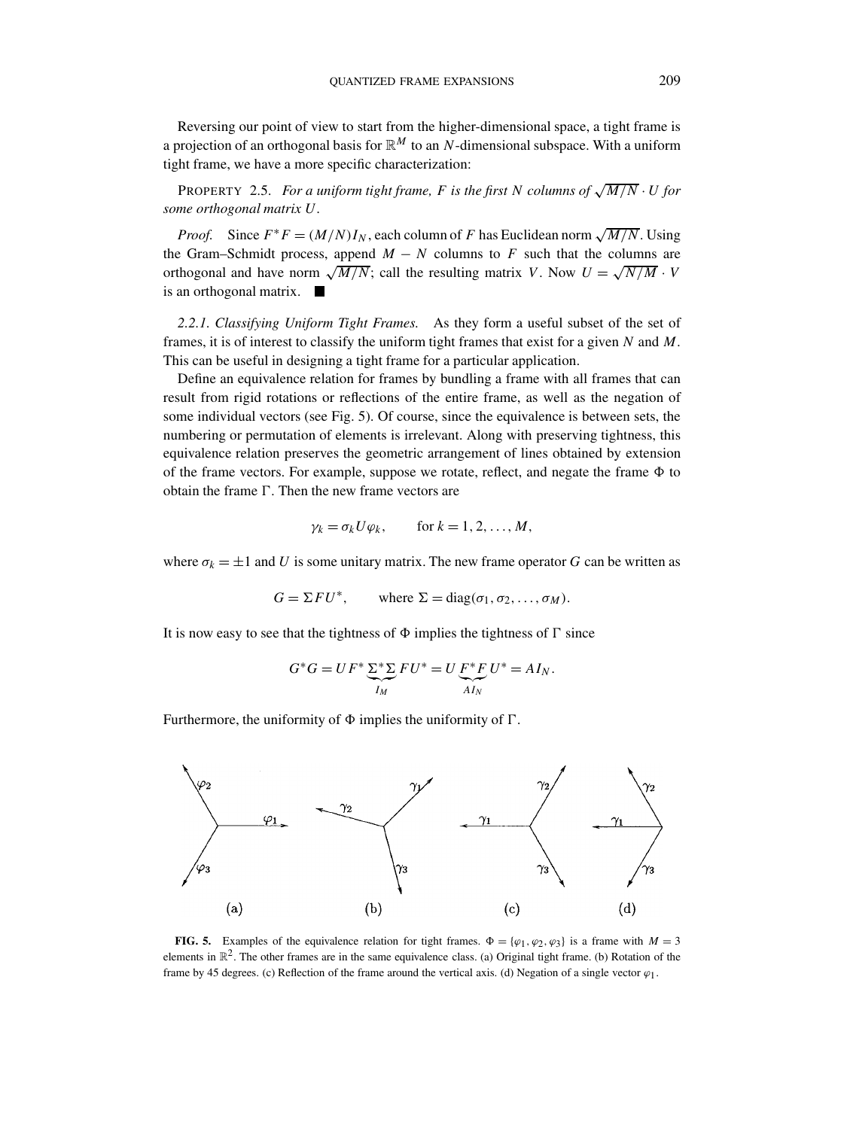Reversing our point of view to start from the higher-dimensional space, a tight frame is a projection of an orthogonal basis for  $\mathbb{R}^M$  to an *N*-dimensional subspace. With a uniform tight frame, we have a more specific characterization:

**PROPERTY** 2.5. *For a uniform tight frame, F is the first N columns of*  $\sqrt{M/N} \cdot U$  *for some orthogonal matrix U.*

*Proof.* Since  $F^*F = (M/N)I_N$ , each column of *F* has Euclidean norm  $\sqrt{M/N}$ . Using the Gram–Schmidt process, append  $M - N$  columns to *F* such that the columns are orthogonal and have norm  $\sqrt{M/N}$ ; call the resulting matrix *V*. Now  $U = \sqrt{N/M} \cdot V$ is an orthogonal matrix.  $\blacksquare$ 

*2.2.1. Classifying Uniform Tight Frames.* As they form a useful subset of the set of frames, it is of interest to classify the uniform tight frames that exist for a given *N* and *M*. This can be useful in designing a tight frame for a particular application.

Define an equivalence relation for frames by bundling a frame with all frames that can result from rigid rotations or reflections of the entire frame, as well as the negation of some individual vectors (see Fig. 5). Of course, since the equivalence is between sets, the numbering or permutation of elements is irrelevant. Along with preserving tightness, this equivalence relation preserves the geometric arrangement of lines obtained by extension of the frame vectors. For example, suppose we rotate, reflect, and negate the frame  $\Phi$  to obtain the frame  $\Gamma$ . Then the new frame vectors are

$$
\gamma_k = \sigma_k U \varphi_k
$$
, for  $k = 1, 2, ..., M$ ,

where  $\sigma_k = \pm 1$  and *U* is some unitary matrix. The new frame operator *G* can be written as

$$
G = \Sigma F U^*, \quad \text{where } \Sigma = \text{diag}(\sigma_1, \sigma_2, \dots, \sigma_M).
$$

It is now easy to see that the tightness of  $\Phi$  implies the tightness of  $\Gamma$  since

$$
G^*G = UF^* \sum_{I_M}^{S^*} FU^* = U \underbrace{F^*F}_{AI_N} U^* = AI_N.
$$

Furthermore, the uniformity of  $\Phi$  implies the uniformity of  $\Gamma$ .



**FIG. 5.** Examples of the equivalence relation for tight frames.  $\Phi = {\varphi_1, \varphi_2, \varphi_3}$  is a frame with  $M = 3$ elements in  $\mathbb{R}^2$ . The other frames are in the same equivalence class. (a) Original tight frame. (b) Rotation of the frame by 45 degrees. (c) Reflection of the frame around the vertical axis. (d) Negation of a single vector  $\varphi_1$ .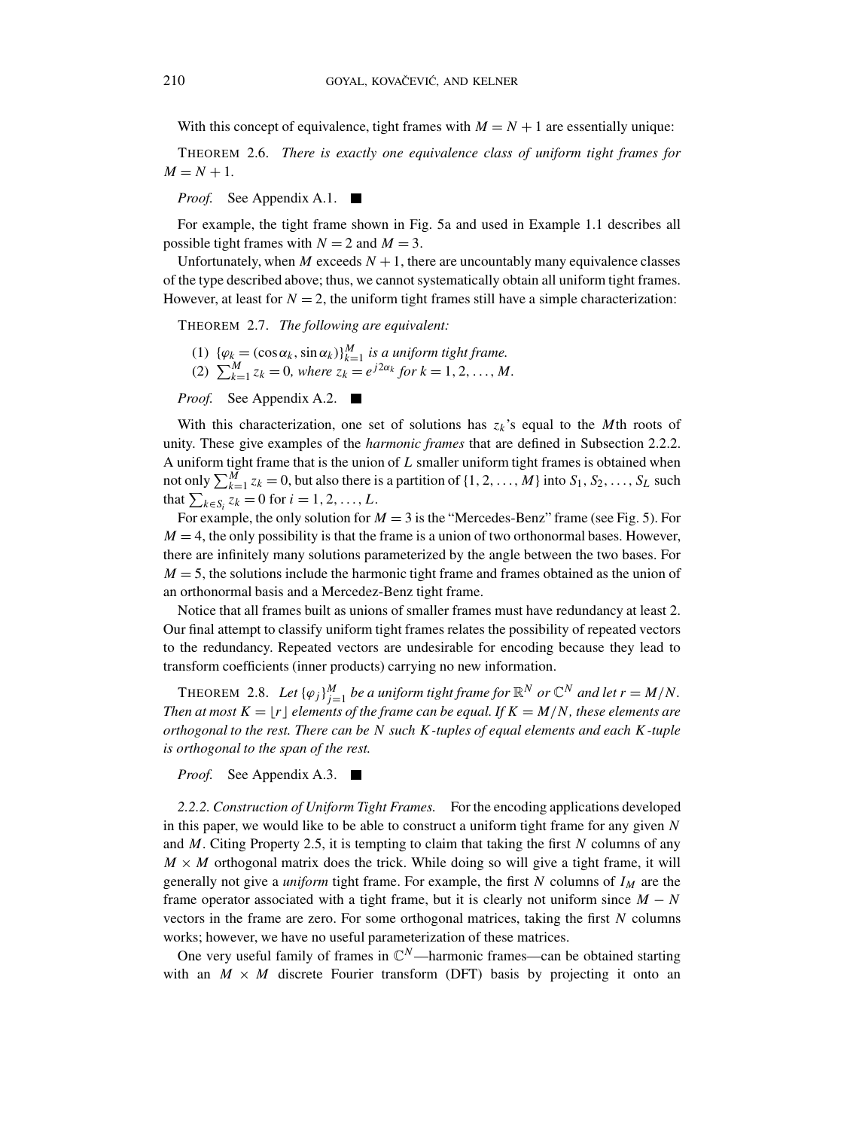With this concept of equivalence, tight frames with  $M = N + 1$  are essentially unique:

THEOREM 2.6. *There is exactly one equivalence class of uniform tight frames for*  $M = N + 1$ .

*Proof.* See Appendix A.1. a pro

For example, the tight frame shown in Fig. 5a and used in Example 1.1 describes all possible tight frames with  $N = 2$  and  $M = 3$ .

Unfortunately, when *M* exceeds  $N + 1$ , there are uncountably many equivalence classes of the type described above; thus, we cannot systematically obtain all uniform tight frames. However, at least for  $N = 2$ , the uniform tight frames still have a simple characterization:

THEOREM 2.7. *The following are equivalent:*

- (1)  $\{\varphi_k = (\cos \alpha_k, \sin \alpha_k)\}_{k=1}^M$  *is a uniform tight frame.*
- (2)  $\sum_{k=1}^{M} z_k = 0$ , where  $z_k = e^{j2\alpha_k}$  for  $k = 1, 2, ..., M$ .

*Proof.* See Appendix A.2.

With this characterization, one set of solutions has  $z_k$ 's equal to the *M*th roots of unity. These give examples of the *harmonic frames* that are defined in Subsection 2.2.2. A uniform tight frame that is the union of *L* smaller uniform tight frames is obtained when not only  $\sum_{k=1}^{M} z_k = 0$ , but also there is a partition of  $\{1, 2, ..., M\}$  into  $S_1, S_2, ..., S_L$  such that  $\sum_{k \in S_i} z_k = 0$  for  $i = 1, 2, ..., L$ .

For example, the only solution for  $M = 3$  is the "Mercedes-Benz" frame (see Fig. 5). For  $M = 4$ , the only possibility is that the frame is a union of two orthonormal bases. However, there are infinitely many solutions parameterized by the angle between the two bases. For  $M = 5$ , the solutions include the harmonic tight frame and frames obtained as the union of an orthonormal basis and a Mercedez-Benz tight frame.

Notice that all frames built as unions of smaller frames must have redundancy at least 2. Our final attempt to classify uniform tight frames relates the possibility of repeated vectors to the redundancy. Repeated vectors are undesirable for encoding because they lead to transform coefficients (inner products) carrying no new information.

THEOREM 2.8. Let  $\{\varphi_j\}_{j=1}^M$  be a uniform tight frame for  $\mathbb{R}^N$  or  $\mathbb{C}^N$  and let  $r = M/N$ . *Then at most*  $K = \lfloor r \rfloor$  elements of the frame can be equal. If  $K = M/N$ , these elements are *orthogonal to the rest. There can be N such K-tuples of equal elements and each K-tuple is orthogonal to the span of the rest.*

*Proof.* See Appendix A.3.

*2.2.2. Construction of Uniform Tight Frames.* For the encoding applications developed in this paper, we would like to be able to construct a uniform tight frame for any given *N* and *M*. Citing Property 2.5, it is tempting to claim that taking the first *N* columns of any  $M \times M$  orthogonal matrix does the trick. While doing so will give a tight frame, it will generally not give a *uniform* tight frame. For example, the first *N* columns of *IM* are the frame operator associated with a tight frame, but it is clearly not uniform since  $M - N$ vectors in the frame are zero. For some orthogonal matrices, taking the first *N* columns works; however, we have no useful parameterization of these matrices.

One very useful family of frames in  $\mathbb{C}^N$ —harmonic frames—can be obtained starting with an  $M \times M$  discrete Fourier transform (DFT) basis by projecting it onto an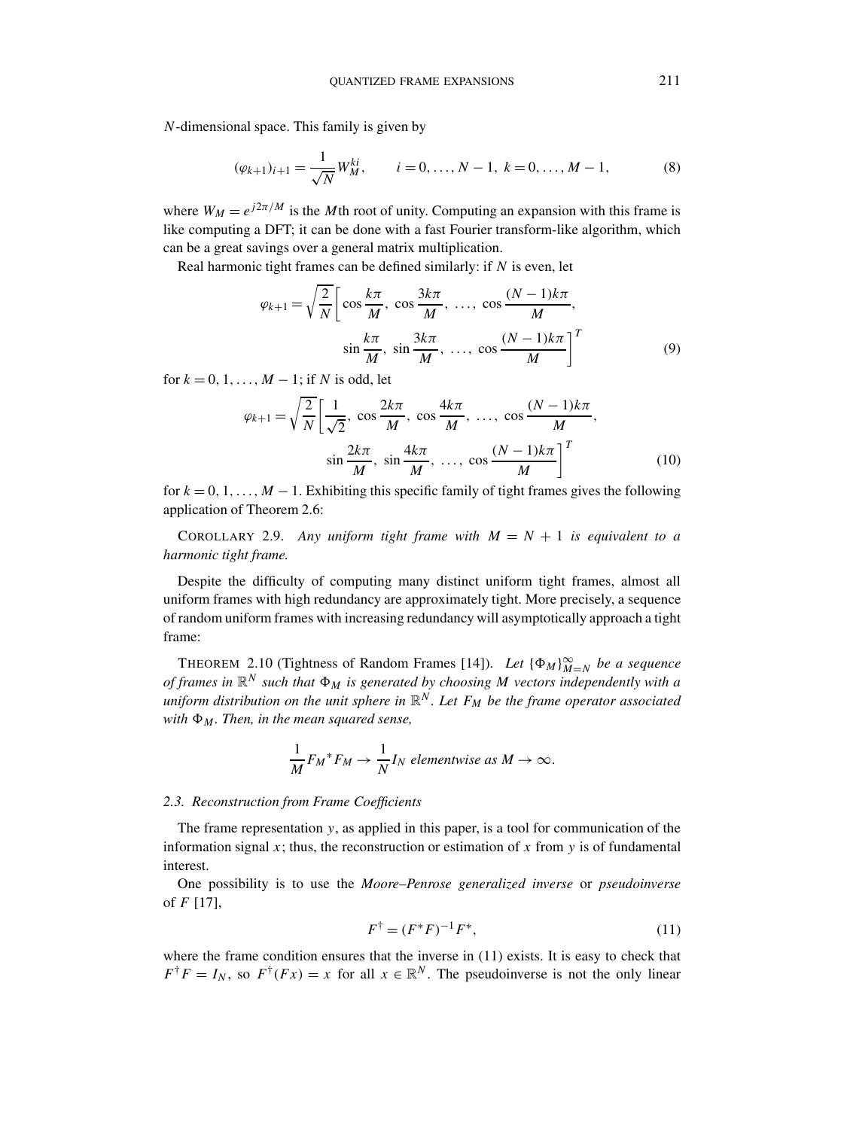*N*-dimensional space. This family is given by

$$
(\varphi_{k+1})_{i+1} = \frac{1}{\sqrt{N}} W_M^{ki}, \qquad i = 0, \dots, N-1, \ k = 0, \dots, M-1,
$$
 (8)

where  $W_M = e^{j2\pi/M}$  is the *M*th root of unity. Computing an expansion with this frame is like computing a DFT; it can be done with a fast Fourier transform-like algorithm, which can be a great savings over a general matrix multiplication.

Real harmonic tight frames can be defined similarly: if *N* is even, let

$$
\varphi_{k+1} = \sqrt{\frac{2}{N}} \left[ \cos \frac{k\pi}{M}, \cos \frac{3k\pi}{M}, \dots, \cos \frac{(N-1)k\pi}{M}, \right]
$$

$$
\sin \frac{k\pi}{M}, \sin \frac{3k\pi}{M}, \dots, \cos \frac{(N-1)k\pi}{M} \right]^T
$$
(9)

for  $k = 0, 1, \ldots, M - 1$ ; if *N* is odd, let

$$
\varphi_{k+1} = \sqrt{\frac{2}{N}} \left[ \frac{1}{\sqrt{2}}, \cos \frac{2k\pi}{M}, \cos \frac{4k\pi}{M}, \dots, \cos \frac{(N-1)k\pi}{M}, \sin \frac{2k\pi}{M}, \sin \frac{4k\pi}{M}, \dots, \cos \frac{(N-1)k\pi}{M} \right]^T
$$
(10)

for  $k = 0, 1, \ldots, M - 1$ . Exhibiting this specific family of tight frames gives the following application of Theorem 2.6:

COROLLARY 2.9. *Any uniform tight frame with*  $M = N + 1$  *is equivalent to a harmonic tight frame.*

Despite the difficulty of computing many distinct uniform tight frames, almost all uniform frames with high redundancy are approximately tight. More precisely, a sequence of random uniform frames with increasing redundancy will asymptotically approach a tight frame:

THEOREM 2.10 (Tightness of Random Frames [14]). *Let*  $\{\Phi_M\}_{M=N}^{\infty}$  *be a sequence of frames in* R*<sup>N</sup> such that M is generated by choosing M vectors independently with a uniform distribution on the unit sphere in*  $\mathbb{R}^N$ *. Let*  $F_M$  *be the frame operator associated with*  $\Phi_M$ *. Then, in the mean squared sense,* 

$$
\frac{1}{M}F_M^*F_M \to \frac{1}{N}I_N
$$
 elementwise as  $M \to \infty$ .

# *2.3. Reconstruction from Frame Coefficients*

The frame representation *y*, as applied in this paper, is a tool for communication of the information signal *x*; thus, the reconstruction or estimation of *x* from *y* is of fundamental interest.

One possibility is to use the *Moore–Penrose generalized inverse* or *pseudoinverse* of *F* [17],

$$
F^{\dagger} = (F^*F)^{-1}F^*,\tag{11}
$$

where the frame condition ensures that the inverse in (11) exists. It is easy to check that  $F^{\dagger}F = I_N$ , so  $F^{\dagger}(Fx) = x$  for all  $x \in \mathbb{R}^N$ . The pseudoinverse is not the only linear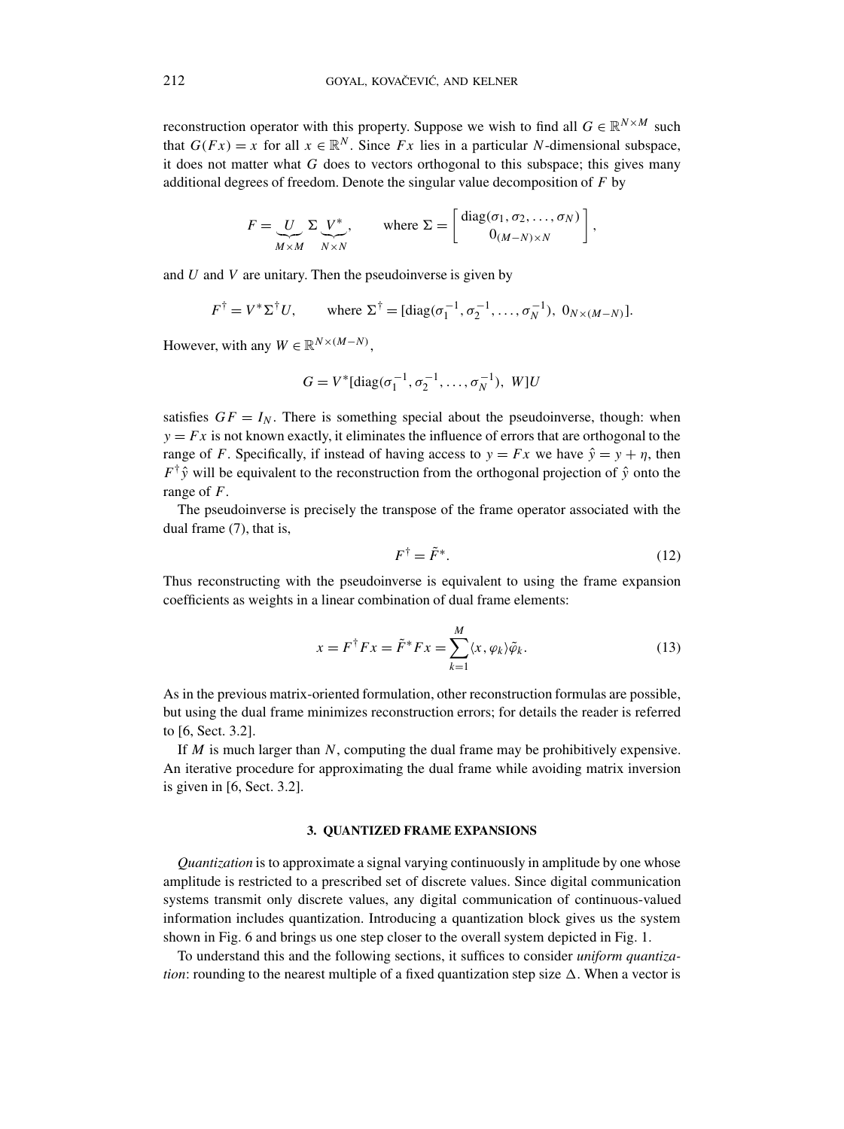reconstruction operator with this property. Suppose we wish to find all  $G \in \mathbb{R}^{N \times M}$  such that  $G(Fx) = x$  for all  $x \in \mathbb{R}^N$ . Since *Fx* lies in a particular *N*-dimensional subspace, it does not matter what *G* does to vectors orthogonal to this subspace; this gives many additional degrees of freedom. Denote the singular value decomposition of *F* by

$$
F = \underbrace{U}_{M \times M} \Sigma \underbrace{V^*}_{N \times N}, \quad \text{where } \Sigma = \begin{bmatrix} \text{diag}(\sigma_1, \sigma_2, \dots, \sigma_N) \\ 0_{(M-N) \times N} \end{bmatrix},
$$

and *U* and *V* are unitary. Then the pseudoinverse is given by

$$
F^{\dagger} = V^* \Sigma^{\dagger} U
$$
, where  $\Sigma^{\dagger} = [\text{diag}(\sigma_1^{-1}, \sigma_2^{-1}, \dots, \sigma_N^{-1}), 0_{N \times (M-N)}].$ 

However, with any  $W \in \mathbb{R}^{N \times (M-N)}$ ,

$$
G = V^*[\text{diag}(\sigma_1^{-1}, \sigma_2^{-1}, \dots, \sigma_N^{-1}), W]U
$$

satisfies  $GF = I_N$ . There is something special about the pseudoinverse, though: when  $y = Fx$  is not known exactly, it eliminates the influence of errors that are orthogonal to the range of *F*. Specifically, if instead of having access to  $y = Fx$  we have  $\hat{y} = y + \eta$ , then  $F^{\dagger}$  $\hat{y}$  will be equivalent to the reconstruction from the orthogonal projection of  $\hat{y}$  onto the range of *F*.

The pseudoinverse is precisely the transpose of the frame operator associated with the dual frame (7), that is,

$$
F^{\dagger} = \tilde{F}^*.
$$
 (12)

Thus reconstructing with the pseudoinverse is equivalent to using the frame expansion coefficients as weights in a linear combination of dual frame elements:

$$
x = F^{\dagger} F x = \tilde{F}^* F x = \sum_{k=1}^{M} \langle x, \varphi_k \rangle \tilde{\varphi}_k.
$$
 (13)

As in the previous matrix-oriented formulation, other reconstruction formulas are possible, but using the dual frame minimizes reconstruction errors; for details the reader is referred to [6, Sect. 3.2].

If *M* is much larger than *N*, computing the dual frame may be prohibitively expensive. An iterative procedure for approximating the dual frame while avoiding matrix inversion is given in [6, Sect. 3.2].

# **3. QUANTIZED FRAME EXPANSIONS**

*Quantization* is to approximate a signal varying continuously in amplitude by one whose amplitude is restricted to a prescribed set of discrete values. Since digital communication systems transmit only discrete values, any digital communication of continuous-valued information includes quantization. Introducing a quantization block gives us the system shown in Fig. 6 and brings us one step closer to the overall system depicted in Fig. 1.

To understand this and the following sections, it suffices to consider *uniform quantization*: rounding to the nearest multiple of a fixed quantization step size  $\Delta$ . When a vector is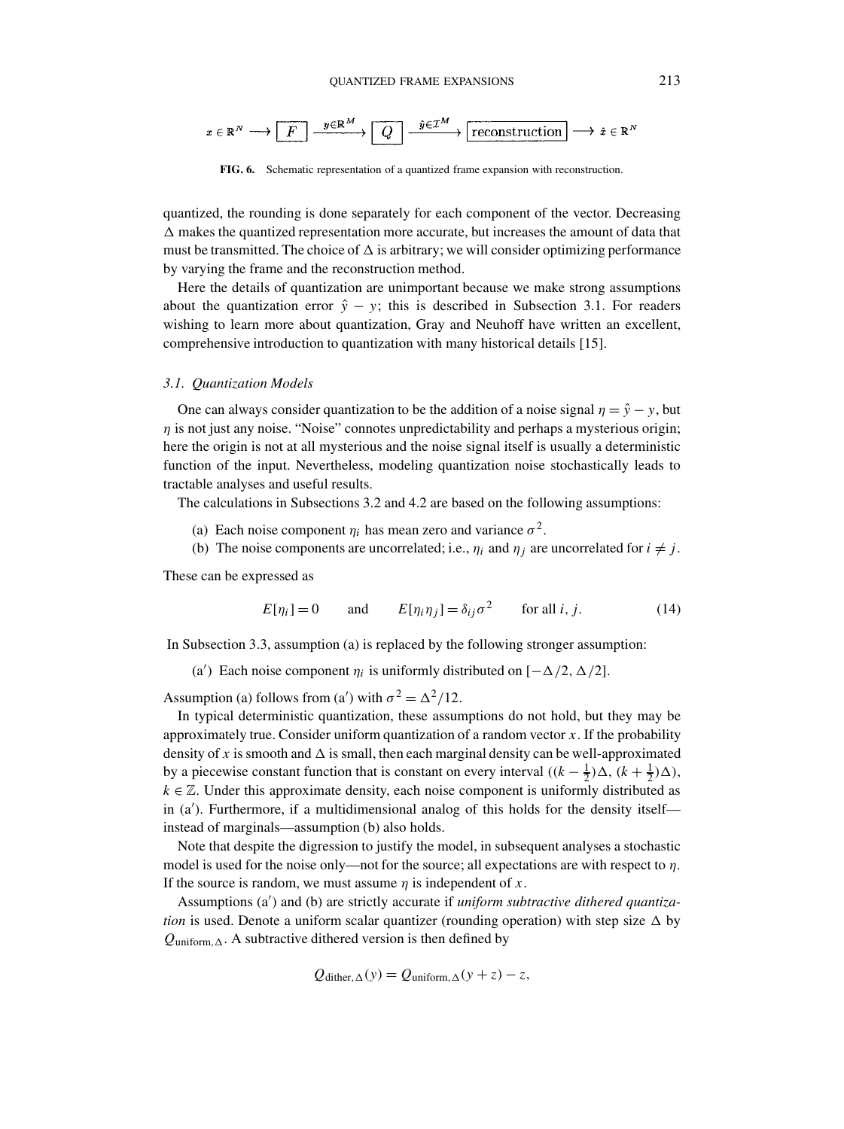

**FIG. 6.** Schematic representation of a quantized frame expansion with reconstruction.

quantized, the rounding is done separately for each component of the vector. Decreasing  $\Delta$  makes the quantized representation more accurate, but increases the amount of data that must be transmitted. The choice of  $\Delta$  is arbitrary; we will consider optimizing performance by varying the frame and the reconstruction method.

Here the details of quantization are unimportant because we make strong assumptions about the quantization error  $\hat{y} - y$ ; this is described in Subsection 3.1. For readers wishing to learn more about quantization, Gray and Neuhoff have written an excellent, comprehensive introduction to quantization with many historical details [15].

#### *3.1. Quantization Models*

One can always consider quantization to be the addition of a noise signal  $\eta = \hat{y} - y$ , but *η* is not just any noise. "Noise" connotes unpredictability and perhaps a mysterious origin; here the origin is not at all mysterious and the noise signal itself is usually a deterministic function of the input. Nevertheless, modeling quantization noise stochastically leads to tractable analyses and useful results.

The calculations in Subsections 3.2 and 4.2 are based on the following assumptions:

- (a) Each noise component  $\eta_i$  has mean zero and variance  $\sigma^2$ .
- (b) The noise components are uncorrelated; i.e.,  $\eta_i$  and  $\eta_j$  are uncorrelated for  $i \neq j$ .

These can be expressed as

$$
E[\eta_i] = 0 \quad \text{and} \quad E[\eta_i \eta_j] = \delta_{ij} \sigma^2 \quad \text{for all } i, j. \tag{14}
$$

In Subsection 3.3, assumption (a) is replaced by the following stronger assumption:

(a') Each noise component  $\eta_i$  is uniformly distributed on  $[-\Delta/2, \Delta/2]$ .

Assumption (a) follows from (a') with  $\sigma^2 = \Delta^2/12$ .

In typical deterministic quantization, these assumptions do not hold, but they may be approximately true. Consider uniform quantization of a random vector *x*. If the probability density of x is smooth and  $\Delta$  is small, then each marginal density can be well-approximated by a piecewise constant function that is constant on every interval  $((k - \frac{1}{2})\Delta, (k + \frac{1}{2})\Delta)$ ,  $k \in \mathbb{Z}$ . Under this approximate density, each noise component is uniformly distributed as in (a ). Furthermore, if a multidimensional analog of this holds for the density itself instead of marginals—assumption (b) also holds.

Note that despite the digression to justify the model, in subsequent analyses a stochastic model is used for the noise only—not for the source; all expectations are with respect to *η*. If the source is random, we must assume *η* is independent of *x*.

Assumptions (a ) and (b) are strictly accurate if *uniform subtractive dithered quantization* is used. Denote a uniform scalar quantizer (rounding operation) with step size  $\Delta$  by  $Q_{uniform, \Delta}$ . A subtractive dithered version is then defined by

$$
Q_{\text{dither},\Delta}(y) = Q_{\text{uniform},\Delta}(y+z) - z,
$$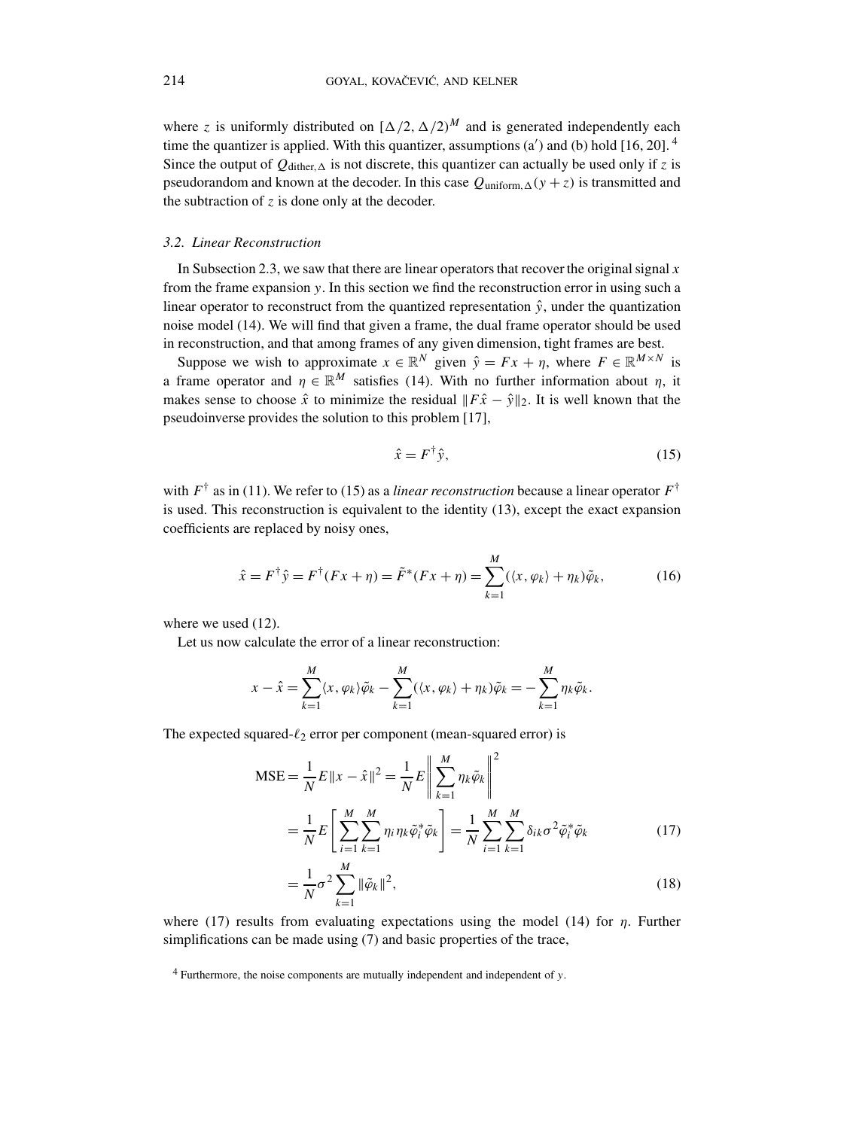where *z* is uniformly distributed on  $[\Delta/2, \Delta/2]^M$  and is generated independently each time the quantizer is applied. With this quantizer, assumptions  $(a')$  and  $(b)$  hold  $[16, 20]$ .<sup>4</sup> Since the output of  $Q_{\text{dither},\Delta}$  is not discrete, this quantizer can actually be used only if *z* is pseudorandom and known at the decoder. In this case  $Q_{uniform, \Delta}(y + z)$  is transmitted and the subtraction of  $z$  is done only at the decoder.

## *3.2. Linear Reconstruction*

In Subsection 2.3, we saw that there are linear operators that recover the original signal *x* from the frame expansion *y*. In this section we find the reconstruction error in using such a linear operator to reconstruct from the quantized representation  $\hat{y}$ , under the quantization noise model (14). We will find that given a frame, the dual frame operator should be used in reconstruction, and that among frames of any given dimension, tight frames are best.

Suppose we wish to approximate  $x \in \mathbb{R}^N$  given  $\hat{y} = Fx + \eta$ , where  $F \in \mathbb{R}^{M \times N}$  is a frame operator and  $\eta \in \mathbb{R}^M$  satisfies (14). With no further information about  $\eta$ , it makes sense to choose  $\hat{x}$  to minimize the residual  $||F\hat{x} - \hat{y}||_2$ . It is well known that the pseudoinverse provides the solution to this problem [17],

$$
\hat{x} = F^{\dagger} \hat{y},\tag{15}
$$

with  $F^{\dagger}$  as in (11). We refer to (15) as a *linear reconstruction* because a linear operator  $F^{\dagger}$ is used. This reconstruction is equivalent to the identity (13), except the exact expansion coefficients are replaced by noisy ones,

$$
\hat{x} = F^{\dagger} \hat{y} = F^{\dagger} (Fx + \eta) = \tilde{F}^*(Fx + \eta) = \sum_{k=1}^{M} (\langle x, \varphi_k \rangle + \eta_k) \tilde{\varphi}_k, \tag{16}
$$

where we used (12).

Let us now calculate the error of a linear reconstruction:

$$
x - \hat{x} = \sum_{k=1}^{M} \langle x, \varphi_k \rangle \tilde{\varphi}_k - \sum_{k=1}^{M} (\langle x, \varphi_k \rangle + \eta_k) \tilde{\varphi}_k = - \sum_{k=1}^{M} \eta_k \tilde{\varphi}_k.
$$

The expected squared- $\ell_2$  error per component (mean-squared error) is

$$
MSE = \frac{1}{N} E ||x - \hat{x}||^2 = \frac{1}{N} E \left\| \sum_{k=1}^{M} \eta_k \tilde{\varphi}_k \right\|^2
$$
  

$$
= \frac{1}{N} E \left[ \sum_{i=1}^{M} \sum_{k=1}^{M} \eta_i \eta_k \tilde{\varphi}_i^* \tilde{\varphi}_k \right] = \frac{1}{N} \sum_{i=1}^{M} \sum_{k=1}^{M} \delta_{ik} \sigma^2 \tilde{\varphi}_i^* \tilde{\varphi}_k
$$
(17)

$$
=\frac{1}{N}\sigma^2\sum_{k=1}^{M}\|\tilde{\varphi}_k\|^2,
$$
\n(18)

where (17) results from evaluating expectations using the model (14) for *η*. Further simplifications can be made using (7) and basic properties of the trace,

<sup>4</sup> Furthermore, the noise components are mutually independent and independent of *y*.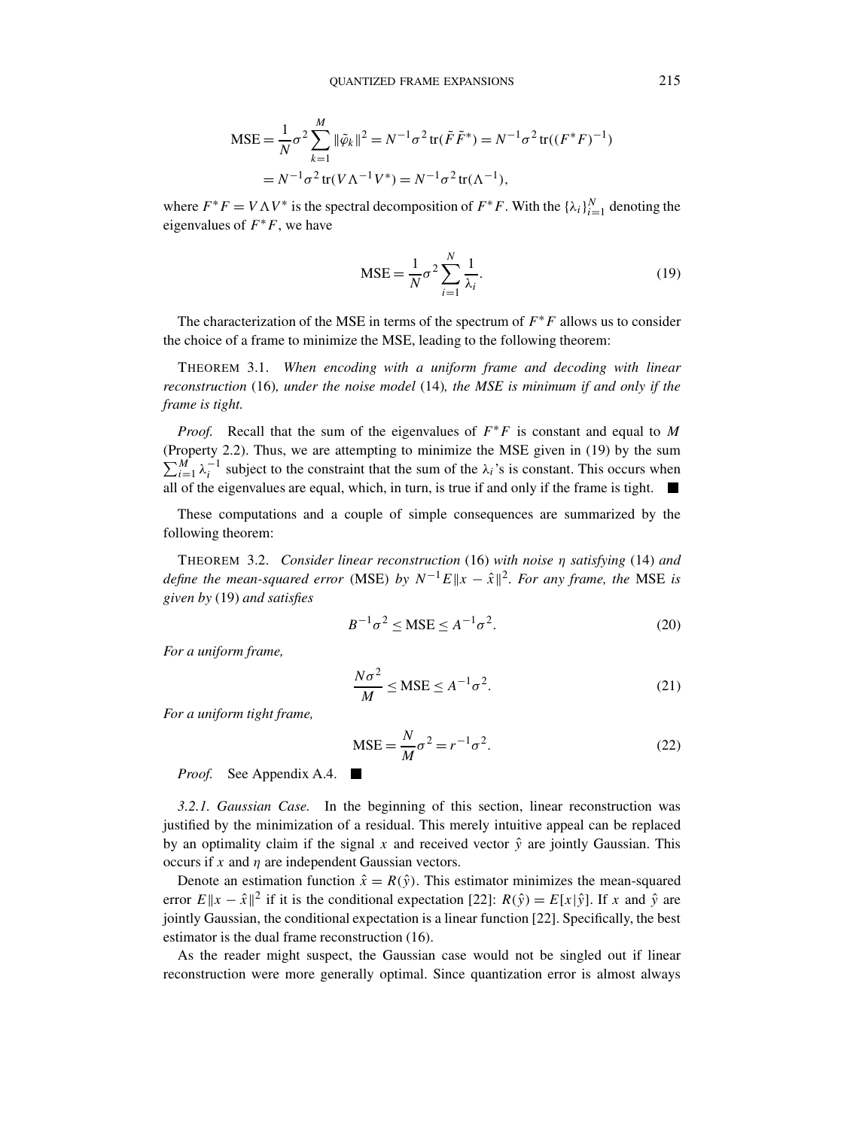$$
\begin{aligned} \text{MSE} &= \frac{1}{N} \sigma^2 \sum_{k=1}^M \|\tilde{\varphi}_k\|^2 = N^{-1} \sigma^2 \operatorname{tr}(\tilde{F}\tilde{F}^*) = N^{-1} \sigma^2 \operatorname{tr}((F^*F)^{-1}) \\ &= N^{-1} \sigma^2 \operatorname{tr}(V\Lambda^{-1}V^*) = N^{-1} \sigma^2 \operatorname{tr}(\Lambda^{-1}), \end{aligned}
$$

where  $F^*F = V\Lambda V^*$  is the spectral decomposition of  $F^*F$ . With the  $\{\lambda_i\}_{i=1}^N$  denoting the eigenvalues of  $F^*F$ , we have

$$
MSE = \frac{1}{N}\sigma^2 \sum_{i=1}^{N} \frac{1}{\lambda_i}.
$$
 (19)

The characterization of the MSE in terms of the spectrum of *F*∗*F* allows us to consider the choice of a frame to minimize the MSE, leading to the following theorem:

THEOREM 3.1. *When encoding with a uniform frame and decoding with linear reconstruction* (16)*, under the noise model* (14)*, the MSE is minimum if and only if the frame is tight.*

*Proof.* Recall that the sum of the eigenvalues of  $F$ <sup>∗</sup>*F* is constant and equal to *M* (Property 2.2). Thus, we are attempting to minimize the MSE given in (19) by the sum  $\sum_{i=1}^{M} \lambda_i^{-1}$  subject to the constraint that the sum of the  $\lambda_i$ 's is constant. This occurs when all of the eigenvalues are equal, which, in turn, is true if and only if the frame is tight.  $\blacksquare$ 

These computations and a couple of simple consequences are summarized by the following theorem:

THEOREM 3.2. *Consider linear reconstruction* (16) *with noise η satisfying* (14) *and define the mean-squared error* (MSE) *by*  $N^{-1}E||x - \hat{x}||^2$ . For any frame, the MSE is *given by* (19) *and satisfies*

$$
B^{-1}\sigma^2 \leq \text{MSE} \leq A^{-1}\sigma^2. \tag{20}
$$

*For a uniform frame,*

$$
\frac{N\sigma^2}{M} \leq \text{MSE} \leq A^{-1}\sigma^2. \tag{21}
$$

*For a uniform tight frame,*

$$
MSE = \frac{N}{M}\sigma^2 = r^{-1}\sigma^2.
$$
 (22)

*Proof.* See Appendix A.4. ■

*3.2.1. Gaussian Case.* In the beginning of this section, linear reconstruction was justified by the minimization of a residual. This merely intuitive appeal can be replaced by an optimality claim if the signal x and received vector  $\hat{y}$  are jointly Gaussian. This occurs if *x* and *η* are independent Gaussian vectors.

Denote an estimation function  $\hat{x} = R(\hat{y})$ . This estimator minimizes the mean-squared error  $E||x - \hat{x}||^2$  if it is the conditional expectation [22]:  $R(\hat{y}) = E[x|\hat{y}]$ . If *x* and  $\hat{y}$  are jointly Gaussian, the conditional expectation is a linear function [22]. Specifically, the best estimator is the dual frame reconstruction (16).

As the reader might suspect, the Gaussian case would not be singled out if linear reconstruction were more generally optimal. Since quantization error is almost always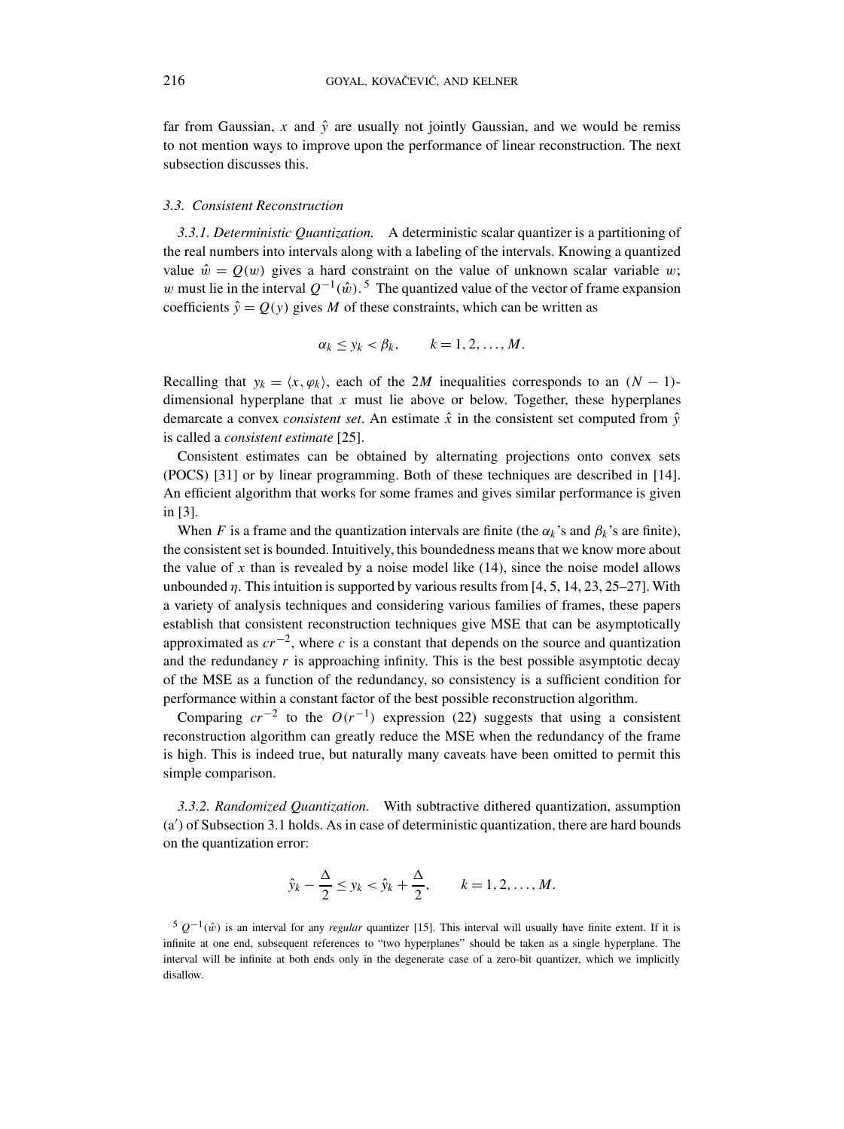far from Gaussian, *x* and  $\hat{y}$  are usually not jointly Gaussian, and we would be remiss to not mention ways to improve upon the performance of linear reconstruction. The next subsection discusses this.

## *3.3. Consistent Reconstruction*

*3.3.1. Deterministic Quantization.* A deterministic scalar quantizer is a partitioning of the real numbers into intervals along with a labeling of the intervals. Knowing a quantized value  $\hat{w} = Q(w)$  gives a hard constraint on the value of unknown scalar variable *w*; *w* must lie in the interval  $Q^{-1}(\hat{w})$ <sup>5</sup>. The quantized value of the vector of frame expansion coefficients  $\hat{y} = Q(y)$  gives *M* of these constraints, which can be written as

$$
\alpha_k \leq y_k < \beta_k, \qquad k = 1, 2, \ldots, M.
$$

Recalling that  $y_k = \langle x, \varphi_k \rangle$ , each of the 2*M* inequalities corresponds to an  $(N - 1)$ dimensional hyperplane that *x* must lie above or below. Together, these hyperplanes demarcate a convex *consistent set*. An estimate  $\hat{x}$  in the consistent set computed from  $\hat{y}$ is called a *consistent estimate* [25].

Consistent estimates can be obtained by alternating projections onto convex sets (POCS) [31] or by linear programming. Both of these techniques are described in [14]. An efficient algorithm that works for some frames and gives similar performance is given in [3].

When *F* is a frame and the quantization intervals are finite (the  $\alpha_k$ 's and  $\beta_k$ 's are finite), the consistent set is bounded. Intuitively, this boundedness means that we know more about the value of  $x$  than is revealed by a noise model like  $(14)$ , since the noise model allows unbounded *η*. This intuition is supported by various results from [4, 5, 14, 23, 25–27]. With a variety of analysis techniques and considering various families of frames, these papers establish that consistent reconstruction techniques give MSE that can be asymptotically approximated as  $cr^{-2}$ , where *c* is a constant that depends on the source and quantization and the redundancy *r* is approaching infinity. This is the best possible asymptotic decay of the MSE as a function of the redundancy, so consistency is a sufficient condition for performance within a constant factor of the best possible reconstruction algorithm.

Comparing  $cr^{-2}$  to the  $O(r^{-1})$  expression (22) suggests that using a consistent reconstruction algorithm can greatly reduce the MSE when the redundancy of the frame is high. This is indeed true, but naturally many caveats have been omitted to permit this simple comparison.

*3.3.2. Randomized Quantization.* With subtractive dithered quantization, assumption (a ) of Subsection 3.1 holds. As in case of deterministic quantization, there are hard bounds on the quantization error:

$$
\hat{y}_k - \frac{\Delta}{2} \le y_k < \hat{y}_k + \frac{\Delta}{2}, \qquad k = 1, 2, \dots, M.
$$

 $5 \frac{Q^{-1}(\hat{w})}{\hat{w}}$  is an interval for any *regular* quantizer [15]. This interval will usually have finite extent. If it is infinite at one end, subsequent references to "two hyperplanes" should be taken as a single hyperplane. The interval will be infinite at both ends only in the degenerate case of a zero-bit quantizer, which we implicitly disallow.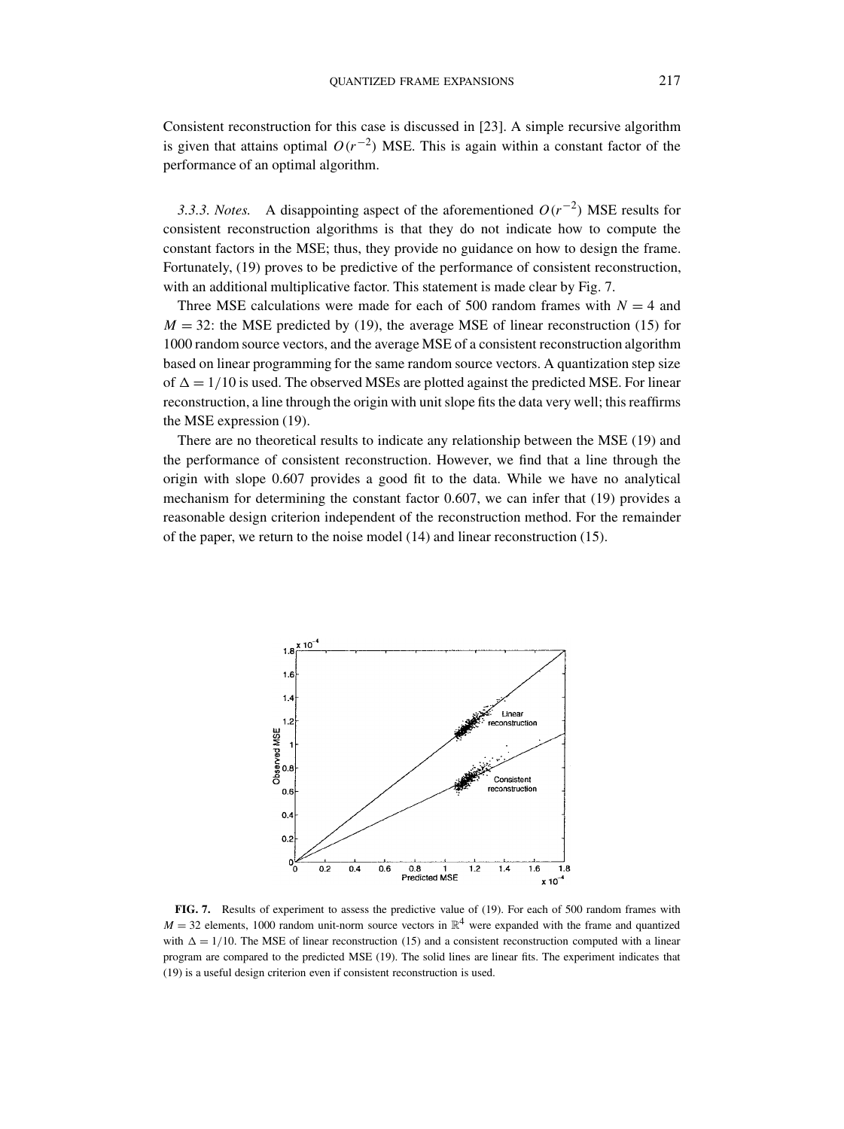Consistent reconstruction for this case is discussed in [23]. A simple recursive algorithm is given that attains optimal  $O(r^{-2})$  MSE. This is again within a constant factor of the performance of an optimal algorithm.

*3.3.3. Notes.* A disappointing aspect of the aforementioned *O(r*−2*)* MSE results for consistent reconstruction algorithms is that they do not indicate how to compute the constant factors in the MSE; thus, they provide no guidance on how to design the frame. Fortunately, (19) proves to be predictive of the performance of consistent reconstruction, with an additional multiplicative factor. This statement is made clear by Fig. 7.

Three MSE calculations were made for each of 500 random frames with  $N = 4$  and  $M = 32$ : the MSE predicted by (19), the average MSE of linear reconstruction (15) for 1000 random source vectors, and the average MSE of a consistent reconstruction algorithm based on linear programming for the same random source vectors. A quantization step size of  $\Delta = 1/10$  is used. The observed MSEs are plotted against the predicted MSE. For linear reconstruction, a line through the origin with unit slope fits the data very well; this reaffirms the MSE expression (19).

There are no theoretical results to indicate any relationship between the MSE (19) and the performance of consistent reconstruction. However, we find that a line through the origin with slope 0.607 provides a good fit to the data. While we have no analytical mechanism for determining the constant factor 0.607, we can infer that (19) provides a reasonable design criterion independent of the reconstruction method. For the remainder of the paper, we return to the noise model (14) and linear reconstruction (15).



**FIG. 7.** Results of experiment to assess the predictive value of (19). For each of 500 random frames with  $M = 32$  elements, 1000 random unit-norm source vectors in  $\mathbb{R}^4$  were expanded with the frame and quantized with  $\Delta = 1/10$ . The MSE of linear reconstruction (15) and a consistent reconstruction computed with a linear program are compared to the predicted MSE (19). The solid lines are linear fits. The experiment indicates that (19) is a useful design criterion even if consistent reconstruction is used.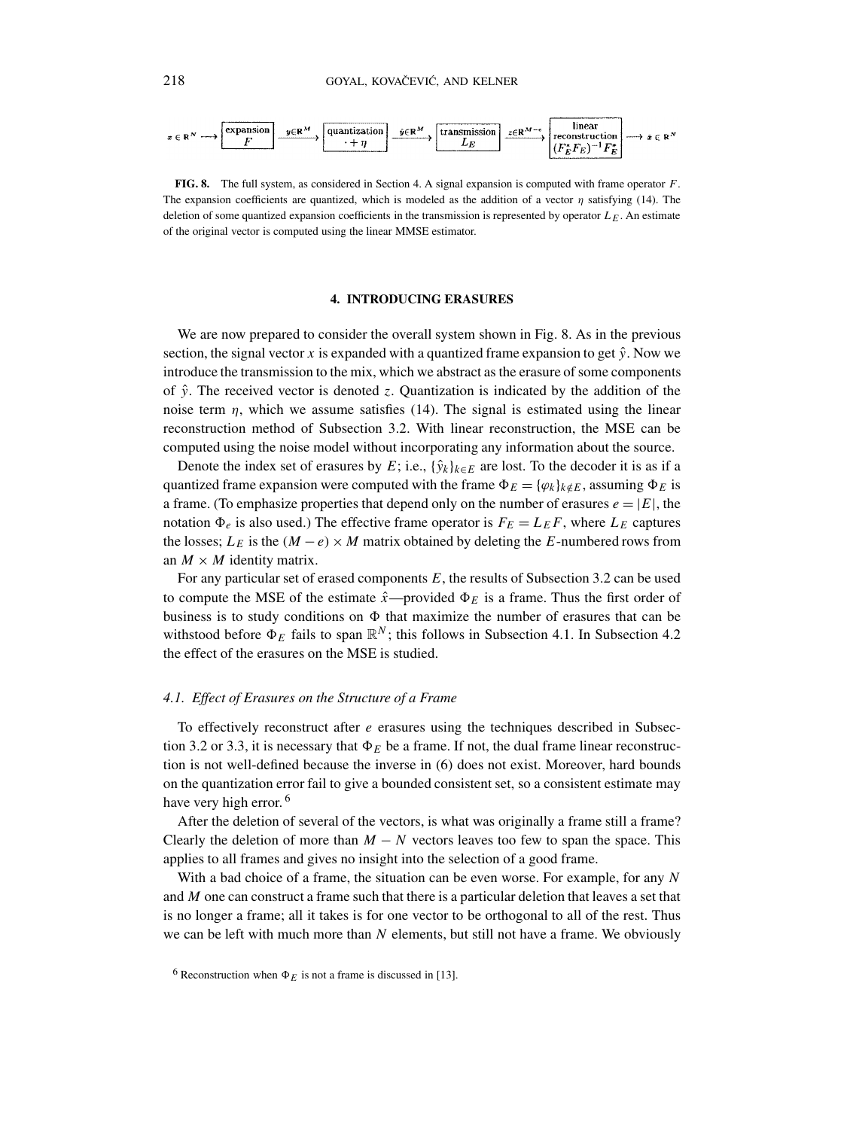

**FIG. 8.** The full system, as considered in Section 4. A signal expansion is computed with frame operator *F*. The expansion coefficients are quantized, which is modeled as the addition of a vector  $\eta$  satisfying (14). The deletion of some quantized expansion coefficients in the transmission is represented by operator *LE*. An estimate of the original vector is computed using the linear MMSE estimator.

## **4. INTRODUCING ERASURES**

We are now prepared to consider the overall system shown in Fig. 8. As in the previous section, the signal vector x is expanded with a quantized frame expansion to get  $\hat{y}$ . Now we introduce the transmission to the mix, which we abstract as the erasure of some components of  $\hat{y}$ . The received vector is denoted *z*. Quantization is indicated by the addition of the noise term  $\eta$ , which we assume satisfies (14). The signal is estimated using the linear reconstruction method of Subsection 3.2. With linear reconstruction, the MSE can be computed using the noise model without incorporating any information about the source.

Denote the index set of erasures by *E*; i.e.,  $\{\hat{y}_k\}_{k \in E}$  are lost. To the decoder it is as if a quantized frame expansion were computed with the frame  $\Phi_E = {\varphi_k}_{k \notin E}$ , assuming  $\Phi_E$  is a frame. (To emphasize properties that depend only on the number of erasures  $e = |E|$ , the notation  $\Phi_e$  is also used.) The effective frame operator is  $F_E = L_E F$ , where  $L_E$  captures the losses;  $L_E$  is the  $(M - e) \times M$  matrix obtained by deleting the *E*-numbered rows from an  $M \times M$  identity matrix.

For any particular set of erased components *E*, the results of Subsection 3.2 can be used to compute the MSE of the estimate  $\hat{x}$ —provided  $\Phi_E$  is a frame. Thus the first order of business is to study conditions on  $\Phi$  that maximize the number of erasures that can be withstood before  $\Phi_F$  fails to span  $\mathbb{R}^N$ ; this follows in Subsection 4.1. In Subsection 4.2 the effect of the erasures on the MSE is studied.

## *4.1. Effect of Erasures on the Structure of a Frame*

To effectively reconstruct after *e* erasures using the techniques described in Subsection 3.2 or 3.3, it is necessary that  $\Phi_E$  be a frame. If not, the dual frame linear reconstruction is not well-defined because the inverse in (6) does not exist. Moreover, hard bounds on the quantization error fail to give a bounded consistent set, so a consistent estimate may have very high error.<sup>6</sup>

After the deletion of several of the vectors, is what was originally a frame still a frame? Clearly the deletion of more than  $M - N$  vectors leaves too few to span the space. This applies to all frames and gives no insight into the selection of a good frame.

With a bad choice of a frame, the situation can be even worse. For example, for any *N* and *M* one can construct a frame such that there is a particular deletion that leaves a set that is no longer a frame; all it takes is for one vector to be orthogonal to all of the rest. Thus we can be left with much more than *N* elements, but still not have a frame. We obviously

<sup>&</sup>lt;sup>6</sup> Reconstruction when  $\Phi_E$  is not a frame is discussed in [13].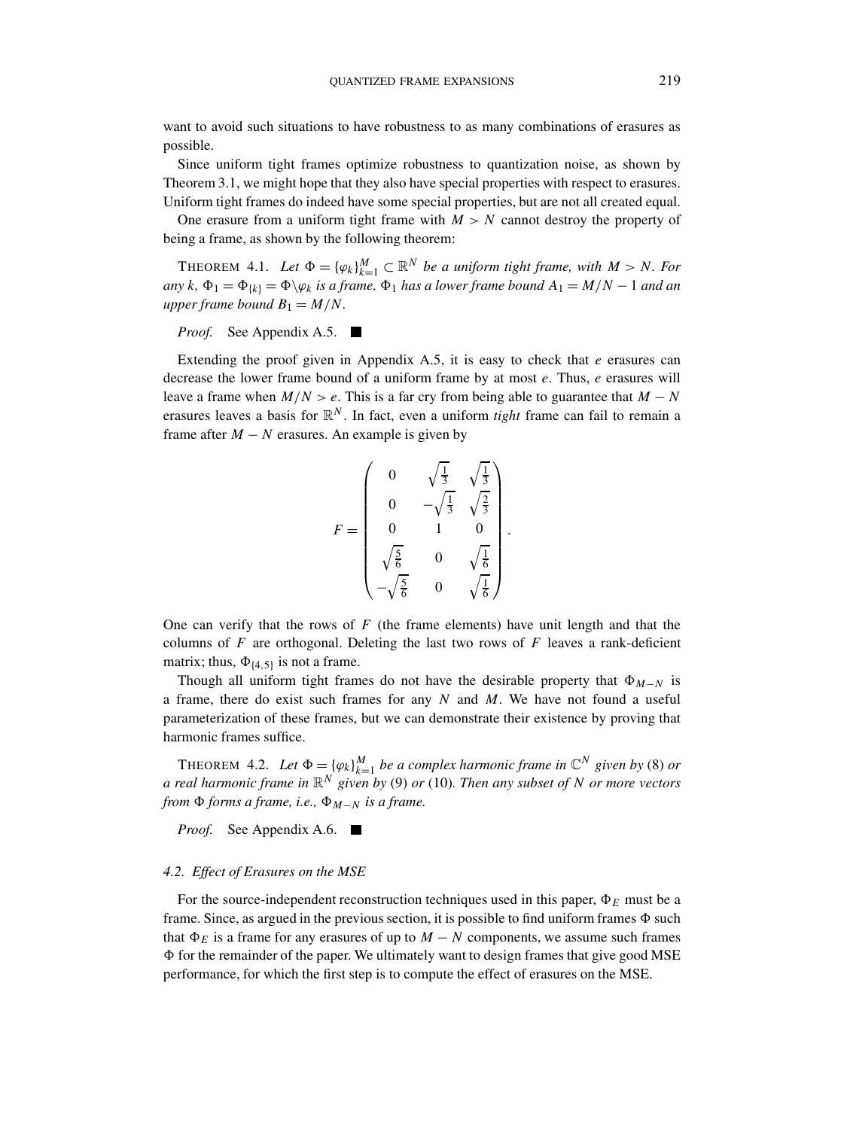want to avoid such situations to have robustness to as many combinations of erasures as possible.

Since uniform tight frames optimize robustness to quantization noise, as shown by Theorem 3.1, we might hope that they also have special properties with respect to erasures. Uniform tight frames do indeed have some special properties, but are not all created equal.

One erasure from a uniform tight frame with  $M > N$  cannot destroy the property of being a frame, as shown by the following theorem:

THEOREM 4.1. Let  $\Phi = {\varphi_k}_{k=1}^M \subset \mathbb{R}^N$  be a uniform tight frame, with  $M > N$ . For  $a_n y k$ ,  $\Phi_1 = \Phi_{k} = \Phi \backslash \varphi_k$  *is a frame.*  $\Phi_1$  *has a lower frame bound*  $A_1 = M/N - 1$  *and an upper frame bound*  $B_1 = M/N$ *.* 

*Proof.* See Appendix A.5. ■

Extending the proof given in Appendix A.5, it is easy to check that  $e$  erasures can decrease the lower frame bound of a uniform frame by at most *e*. Thus, *e* erasures will leave a frame when  $M/N > e$ . This is a far cry from being able to guarantee that  $M - N$ erasures leaves a basis for  $\mathbb{R}^N$ . In fact, even a uniform *tight* frame can fail to remain a frame after  $M - N$  erasures. An example is given by

$$
F = \begin{pmatrix} 0 & \sqrt{\frac{1}{3}} & \sqrt{\frac{1}{3}} \\ 0 & -\sqrt{\frac{1}{3}} & \sqrt{\frac{2}{3}} \\ 0 & 1 & 0 \\ \sqrt{\frac{5}{6}} & 0 & \sqrt{\frac{1}{6}} \\ -\sqrt{\frac{5}{6}} & 0 & \sqrt{\frac{1}{6}} \end{pmatrix}
$$

*.*

One can verify that the rows of *F* (the frame elements) have unit length and that the columns of  $F$  are orthogonal. Deleting the last two rows of  $F$  leaves a rank-deficient matrix; thus,  $\Phi_{\{4,5\}}$  is not a frame.

Though all uniform tight frames do not have the desirable property that  $\Phi_{M-N}$  is a frame, there do exist such frames for any *N* and *M*. We have not found a useful parameterization of these frames, but we can demonstrate their existence by proving that harmonic frames suffice.

THEOREM 4.2. Let  $\Phi = {\varphi_k}\}_{k=1}^M$  be a complex harmonic frame in  $\mathbb{C}^N$  given by (8) or *a real harmonic frame in* R*<sup>N</sup> given by* (9) *or* (10)*. Then any subset of N or more vectors from*  $\Phi$  *forms a frame, i.e.,*  $\Phi$ <sub>*M*−*N*</sub> *is a frame.* 

*Proof.* See Appendix A.6. ■

#### *4.2. Effect of Erasures on the MSE*

For the source-independent reconstruction techniques used in this paper,  $\Phi_E$  must be a frame. Since, as argued in the previous section, it is possible to find uniform frames  $\Phi$  such that  $\Phi_E$  is a frame for any erasures of up to  $M - N$  components, we assume such frames  $\Phi$  for the remainder of the paper. We ultimately want to design frames that give good MSE performance, for which the first step is to compute the effect of erasures on the MSE.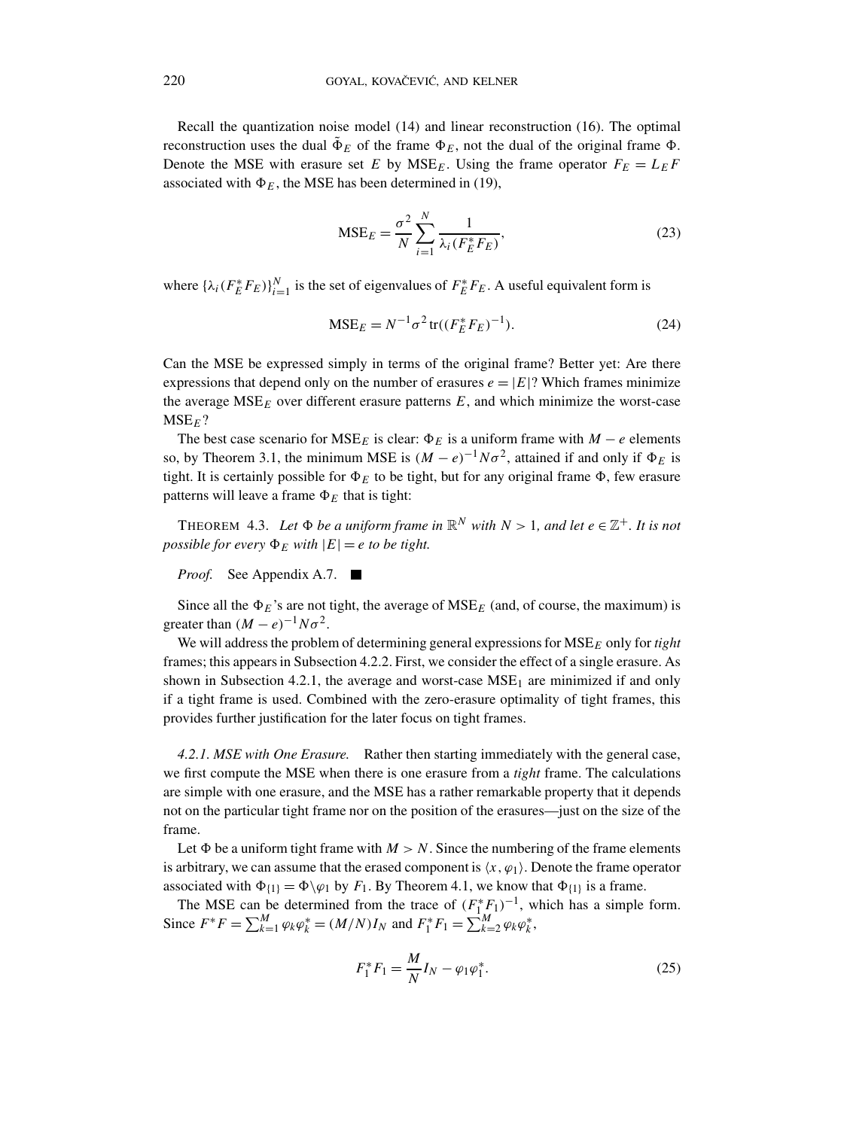Recall the quantization noise model (14) and linear reconstruction (16). The optimal reconstruction uses the dual  $\tilde{\Phi}_E$  of the frame  $\Phi_E$ , not the dual of the original frame  $\Phi$ . Denote the MSE with erasure set *E* by  $MSE<sub>F</sub>$ . Using the frame operator  $F<sub>E</sub> = L<sub>E</sub>F$ associated with  $\Phi_F$ , the MSE has been determined in (19),

$$
\text{MSE}_E = \frac{\sigma^2}{N} \sum_{i=1}^N \frac{1}{\lambda_i (F_E^* F_E)},\tag{23}
$$

where  $\{\lambda_i(F_E^*F_E)\}_{i=1}^N$  is the set of eigenvalues of  $F_E^*F_E$ . A useful equivalent form is

$$
MSE_E = N^{-1} \sigma^2 \operatorname{tr}((F_E^* F_E)^{-1}).
$$
\n(24)

Can the MSE be expressed simply in terms of the original frame? Better yet: Are there expressions that depend only on the number of erasures  $e = |E|$ ? Which frames minimize the average  $MSE<sub>E</sub>$  over different erasure patterns  $E$ , and which minimize the worst-case MSE*E*?

The best case scenario for  $MSE_E$  is clear:  $\Phi_E$  is a uniform frame with  $M - e$  elements so, by Theorem 3.1, the minimum MSE is  $(M - e)^{-1}N\sigma^2$ , attained if and only if  $\Phi_E$  is tight. It is certainly possible for  $\Phi_E$  to be tight, but for any original frame  $\Phi$ , few erasure patterns will leave a frame  $\Phi_E$  that is tight:

THEOREM 4.3. Let  $\Phi$  be a uniform frame in  $\mathbb{R}^N$  with  $N > 1$ , and let  $e \in \mathbb{Z}^+$ . It is not *possible for every*  $\Phi_E$  *with*  $|E| = e$  *to be tight.* 

*Proof.* See Appendix A.7. ■

Since all the  $\Phi_E$ 's are not tight, the average of MSE<sub>*E*</sub> (and, of course, the maximum) is greater than  $(M - e)^{-1}N\sigma^2$ .

We will address the problem of determining general expressions for MSE*<sup>E</sup>* only for *tight* frames; this appears in Subsection 4.2.2. First, we consider the effect of a single erasure. As shown in Subsection 4.2.1, the average and worst-case  $MSE<sub>1</sub>$  are minimized if and only if a tight frame is used. Combined with the zero-erasure optimality of tight frames, this provides further justification for the later focus on tight frames.

*4.2.1. MSE with One Erasure.* Rather then starting immediately with the general case, we first compute the MSE when there is one erasure from a *tight* frame. The calculations are simple with one erasure, and the MSE has a rather remarkable property that it depends not on the particular tight frame nor on the position of the erasures—just on the size of the frame.

Let  $\Phi$  be a uniform tight frame with  $M > N$ . Since the numbering of the frame elements is arbitrary, we can assume that the erased component is  $\langle x, \varphi_1 \rangle$ . Denote the frame operator associated with  $\Phi_{1} = \Phi \backslash \varphi_1$  by *F*<sub>1</sub>. By Theorem 4.1, we know that  $\Phi_{1}$  is a frame.

The MSE can be determined from the trace of  $(F_1^*F_1)^{-1}$ , which has a simple form. Since  $F^*F = \sum_{k=1}^M \varphi_k \varphi_k^* = (M/N)I_N$  and  $F_1^*F_1 = \sum_{k=2}^M \varphi_k \varphi_k^*$ ,

$$
F_1^* F_1 = \frac{M}{N} I_N - \varphi_1 \varphi_1^*.
$$
 (25)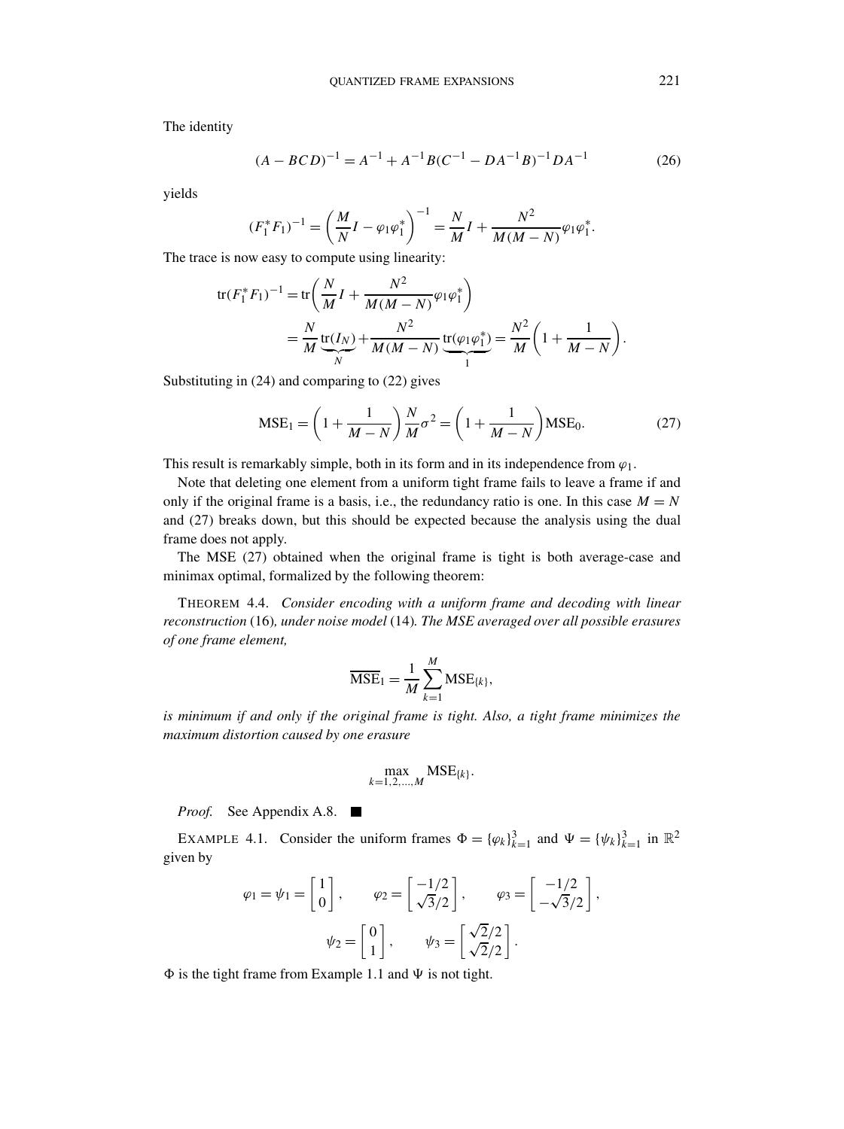The identity

$$
(A - BCD)^{-1} = A^{-1} + A^{-1}B(C^{-1} - DA^{-1}B)^{-1}DA^{-1}
$$
 (26)

yields

$$
(F_1^* F_1)^{-1} = \left(\frac{M}{N}I - \varphi_1 \varphi_1^*\right)^{-1} = \frac{N}{M}I + \frac{N^2}{M(M-N)}\varphi_1 \varphi_1^*.
$$

The trace is now easy to compute using linearity:

$$
\begin{split} \text{tr}(F_1^* F_1)^{-1} &= \text{tr}\bigg(\frac{N}{M}I + \frac{N^2}{M(M-N)}\varphi_1\varphi_1^*\bigg) \\ &= \frac{N}{M}\frac{\text{tr}(I_N)}{\frac{N}{N}} + \frac{N^2}{M(M-N)}\frac{\text{tr}(\varphi_1\varphi_1^*)}{\frac{N^2}{N}} = \frac{N^2}{M}\bigg(1 + \frac{1}{M-N}\bigg). \end{split}
$$

Substituting in (24) and comparing to (22) gives

$$
MSE_1 = \left(1 + \frac{1}{M - N}\right) \frac{N}{M} \sigma^2 = \left(1 + \frac{1}{M - N}\right) MSE_0.
$$
 (27)

This result is remarkably simple, both in its form and in its independence from  $\varphi_1$ .

Note that deleting one element from a uniform tight frame fails to leave a frame if and only if the original frame is a basis, i.e., the redundancy ratio is one. In this case  $M = N$ and (27) breaks down, but this should be expected because the analysis using the dual frame does not apply.

The MSE (27) obtained when the original frame is tight is both average-case and minimax optimal, formalized by the following theorem:

THEOREM 4.4. *Consider encoding with a uniform frame and decoding with linear reconstruction* (16)*, under noise model* (14)*. The MSE averaged over all possible erasures of one frame element,*

$$
\overline{\text{MSE}}_1 = \frac{1}{M} \sum_{k=1}^{M} \text{MSE}_{\{k\}},
$$

*is minimum if and only if the original frame is tight. Also, a tight frame minimizes the maximum distortion caused by one erasure*

$$
\max_{k=1,2,\ldots,M} \text{MSE}_{\{k\}}.
$$

*Proof.* See Appendix A.8. ■

EXAMPLE 4.1. Consider the uniform frames  $\Phi = {\{\varphi_k\}}_{k=1}^3$  and  $\Psi = {\{\psi_k\}}_{k=1}^3$  in  $\mathbb{R}^2$ given by

$$
\varphi_1 = \psi_1 = \begin{bmatrix} 1 \\ 0 \end{bmatrix}, \qquad \varphi_2 = \begin{bmatrix} -1/2 \\ \sqrt{3}/2 \end{bmatrix}, \qquad \varphi_3 = \begin{bmatrix} -1/2 \\ -\sqrt{3}/2 \end{bmatrix},
$$

$$
\psi_2 = \begin{bmatrix} 0 \\ 1 \end{bmatrix}, \qquad \psi_3 = \begin{bmatrix} \sqrt{2}/2 \\ \sqrt{2}/2 \end{bmatrix}.
$$

 $\Phi$  is the tight frame from Example 1.1 and  $\Psi$  is not tight.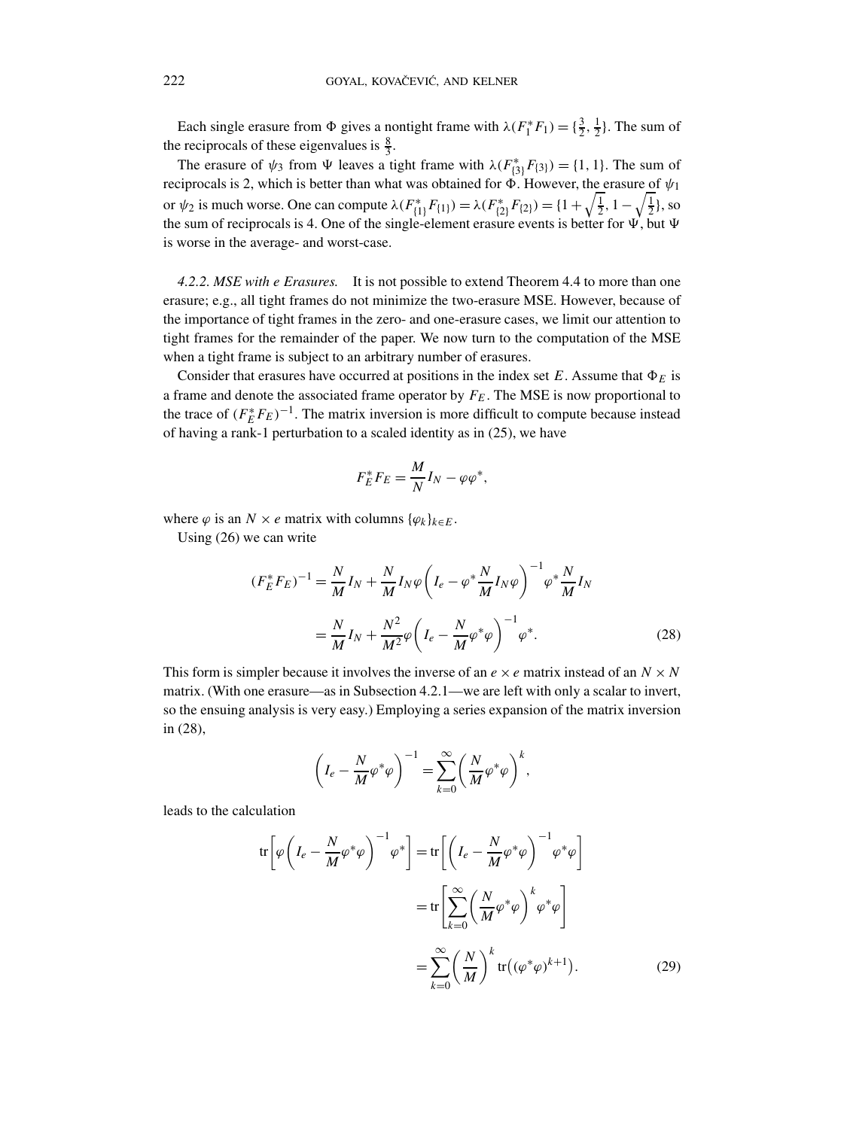Each single erasure from  $\Phi$  gives a nontight frame with  $\lambda(F_1^*F_1) = \{\frac{3}{2}, \frac{1}{2}\}\.$  The sum of the reciprocals of these eigenvalues is  $\frac{8}{3}$ .

The erasure of  $\psi_3$  from  $\Psi$  leaves a tight frame with  $\lambda(F_{\{3\}}^*F_{\{3\}}) = \{1, 1\}$ . The sum of reciprocals is 2, which is better than what was obtained for  $\Phi$ . However, the erasure of  $\psi_1$ or  $\psi_2$  is much worse. One can compute  $\lambda(F_{\{1\}}^*F_{\{1\}}) = \lambda(F_{\{2\}}^*F_{\{2\}}) = \{1 + \sqrt{\frac{1}{2}}, 1 - \sqrt{\frac{1}{2}}\}$ , so the sum of reciprocals is 4. One of the single-element erasure events is better for  $\Psi$ , but  $\Psi$ is worse in the average- and worst-case.

*4.2.2. MSE with e Erasures.* It is not possible to extend Theorem 4.4 to more than one erasure; e.g., all tight frames do not minimize the two-erasure MSE. However, because of the importance of tight frames in the zero- and one-erasure cases, we limit our attention to tight frames for the remainder of the paper. We now turn to the computation of the MSE when a tight frame is subject to an arbitrary number of erasures.

Consider that erasures have occurred at positions in the index set *E*. Assume that  $\Phi_E$  is a frame and denote the associated frame operator by *FE*. The MSE is now proportional to the trace of  $(F_E^*F_E)^{-1}$ . The matrix inversion is more difficult to compute because instead of having a rank-1 perturbation to a scaled identity as in (25), we have

$$
F_E^* F_E = \frac{M}{N} I_N - \varphi \varphi^*,
$$

where  $\varphi$  is an  $N \times e$  matrix with columns  $\{\varphi_k\}_{k \in E}$ .

Using (26) we can write

$$
(F_E^* F_E)^{-1} = \frac{N}{M} I_N + \frac{N}{M} I_N \varphi \left( I_e - \varphi^* \frac{N}{M} I_N \varphi \right)^{-1} \varphi^* \frac{N}{M} I_N
$$
  
=  $\frac{N}{M} I_N + \frac{N^2}{M^2} \varphi \left( I_e - \frac{N}{M} \varphi^* \varphi \right)^{-1} \varphi^*.$  (28)

This form is simpler because it involves the inverse of an  $e \times e$  matrix instead of an  $N \times N$ matrix. (With one erasure—as in Subsection 4.2.1—we are left with only a scalar to invert, so the ensuing analysis is very easy.) Employing a series expansion of the matrix inversion in (28),

$$
\left(I_e - \frac{N}{M}\varphi^*\varphi\right)^{-1} = \sum_{k=0}^{\infty} \left(\frac{N}{M}\varphi^*\varphi\right)^k,
$$

leads to the calculation

$$
\operatorname{tr}\left[\varphi\left(I_e - \frac{N}{M}\varphi^*\varphi\right)^{-1}\varphi^*\right] = \operatorname{tr}\left[\left(I_e - \frac{N}{M}\varphi^*\varphi\right)^{-1}\varphi^*\varphi\right]
$$

$$
= \operatorname{tr}\left[\sum_{k=0}^{\infty} \left(\frac{N}{M}\varphi^*\varphi\right)^k\varphi^*\varphi\right]
$$

$$
= \sum_{k=0}^{\infty} \left(\frac{N}{M}\right)^k \operatorname{tr}\left((\varphi^*\varphi)^{k+1}\right). \tag{29}
$$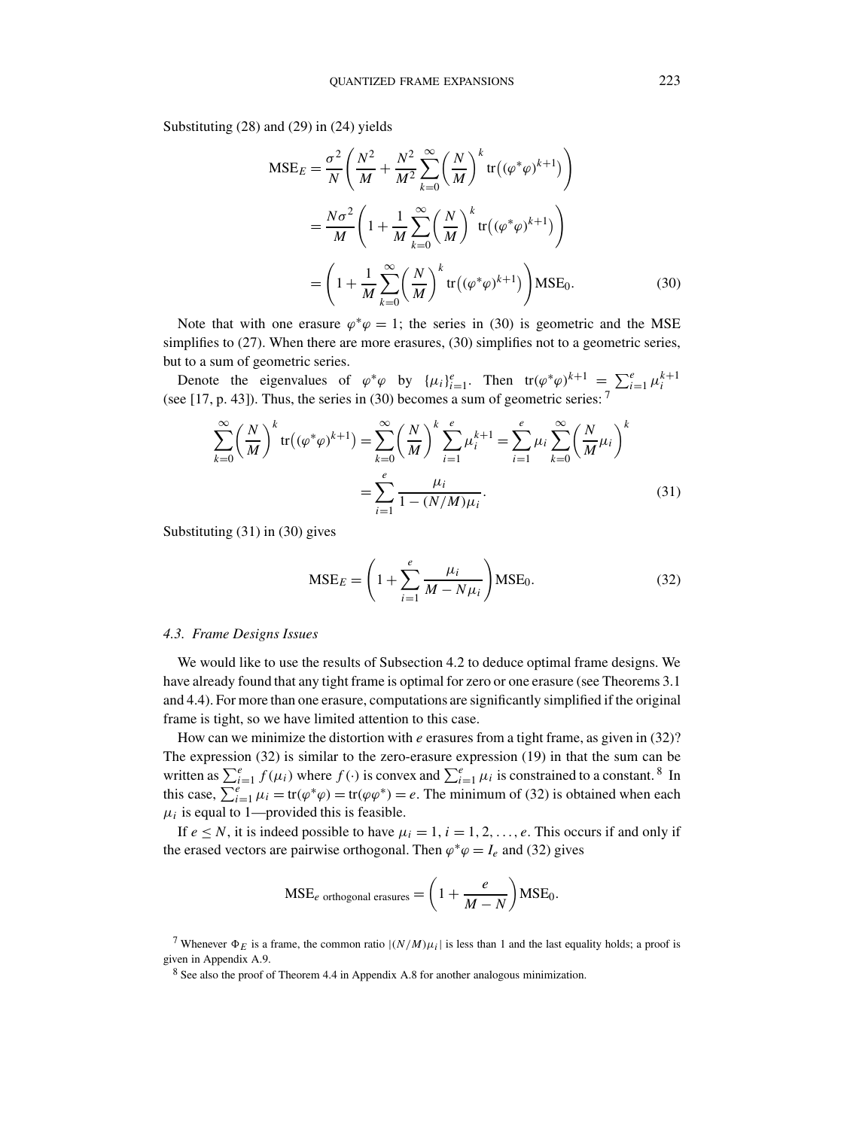Substituting (28) and (29) in (24) yields

$$
MSE_E = \frac{\sigma^2}{N} \left( \frac{N^2}{M} + \frac{N^2}{M^2} \sum_{k=0}^{\infty} \left( \frac{N}{M} \right)^k tr((\varphi^* \varphi)^{k+1}) \right)
$$
  

$$
= \frac{N \sigma^2}{M} \left( 1 + \frac{1}{M} \sum_{k=0}^{\infty} \left( \frac{N}{M} \right)^k tr((\varphi^* \varphi)^{k+1}) \right)
$$
  

$$
= \left( 1 + \frac{1}{M} \sum_{k=0}^{\infty} \left( \frac{N}{M} \right)^k tr((\varphi^* \varphi)^{k+1}) \right) MSE_0.
$$
 (30)

Note that with one erasure  $\varphi^* \varphi = 1$ ; the series in (30) is geometric and the MSE simplifies to (27). When there are more erasures, (30) simplifies not to a geometric series, but to a sum of geometric series.

Denote the eigenvalues of  $\varphi^*\varphi$  by  $\{\mu_i\}_{i=1}^e$ . Then  $\text{tr}(\varphi^*\varphi)^{k+1} = \sum_{i=1}^e \mu_i^{k+1}$ (see [17, p. 43]). Thus, the series in (30) becomes a sum of geometric series: <sup>7</sup>

$$
\sum_{k=0}^{\infty} \left(\frac{N}{M}\right)^k \text{tr}\left((\varphi^*\varphi)^{k+1}\right) = \sum_{k=0}^{\infty} \left(\frac{N}{M}\right)^k \sum_{i=1}^e \mu_i^{k+1} = \sum_{i=1}^e \mu_i \sum_{k=0}^{\infty} \left(\frac{N}{M}\mu_i\right)^k
$$

$$
= \sum_{i=1}^e \frac{\mu_i}{1 - (N/M)\mu_i}.
$$
(31)

Substituting (31) in (30) gives

$$
MSE_E = \left(1 + \sum_{i=1}^{e} \frac{\mu_i}{M - N\mu_i}\right) MSE_0.
$$
 (32)

#### *4.3. Frame Designs Issues*

We would like to use the results of Subsection 4.2 to deduce optimal frame designs. We have already found that any tight frame is optimal for zero or one erasure (see Theorems 3.1 and 4.4). For more than one erasure, computations are significantly simplified if the original frame is tight, so we have limited attention to this case.

How can we minimize the distortion with *e* erasures from a tight frame, as given in (32)? The expression (32) is similar to the zero-erasure expression (19) in that the sum can be written as  $\sum_{i=1}^{e} f(\mu_i)$  where  $f(\cdot)$  is convex and  $\sum_{i=1}^{e} \mu_i$  is constrained to a constant. <sup>8</sup> In this case,  $\sum_{i=1}^{e} \mu_i = \text{tr}(\varphi^* \varphi) = \text{tr}(\varphi \varphi^*) = e$ . The minimum of (32) is obtained when each  $\mu_i$  is equal to 1—provided this is feasible.

If  $e \leq N$ , it is indeed possible to have  $\mu_i = 1, i = 1, 2, \ldots, e$ . This occurs if and only if the erased vectors are pairwise orthogonal. Then  $\varphi^* \varphi = I_e$  and (32) gives

$$
MSEe orthogonal erasures = \left(1 + \frac{e}{M - N}\right)MSE0.
$$

<sup>7</sup> Whenever  $\Phi_E$  is a frame, the common ratio  $|(N/M)\mu_i|$  is less than 1 and the last equality holds; a proof is given in Appendix A.9.

<sup>8</sup> See also the proof of Theorem 4.4 in Appendix A.8 for another analogous minimization.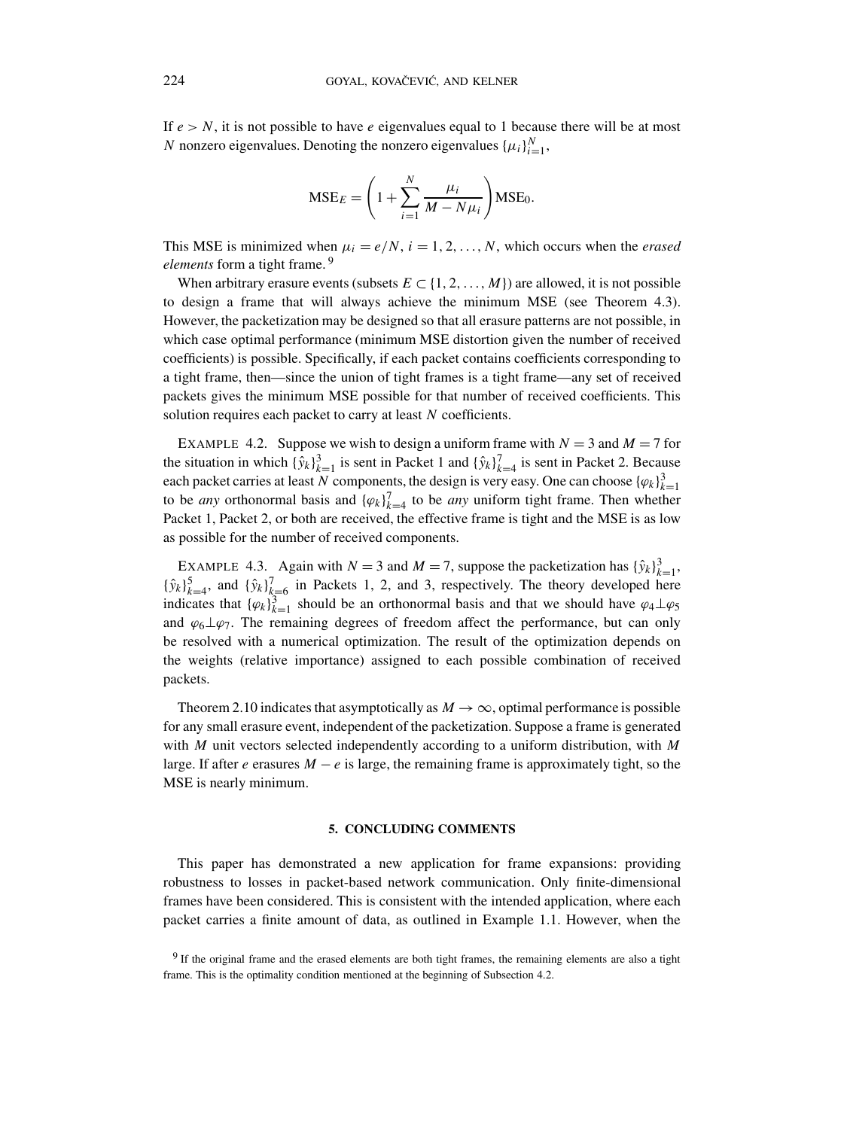If  $e > N$ , it is not possible to have *e* eigenvalues equal to 1 because there will be at most *N* nonzero eigenvalues. Denoting the nonzero eigenvalues  $\{\mu_i\}_{i=1}^N$ ,

$$
MSE_E = \left(1 + \sum_{i=1}^{N} \frac{\mu_i}{M - N\mu_i}\right) MSE_0.
$$

This MSE is minimized when  $\mu_i = e/N$ ,  $i = 1, 2, ..., N$ , which occurs when the *erased elements* form a tight frame. <sup>9</sup>

When arbitrary erasure events (subsets  $E \subset \{1, 2, ..., M\}$ ) are allowed, it is not possible to design a frame that will always achieve the minimum MSE (see Theorem 4.3). However, the packetization may be designed so that all erasure patterns are not possible, in which case optimal performance (minimum MSE distortion given the number of received coefficients) is possible. Specifically, if each packet contains coefficients corresponding to a tight frame, then—since the union of tight frames is a tight frame—any set of received packets gives the minimum MSE possible for that number of received coefficients. This solution requires each packet to carry at least *N* coefficients.

EXAMPLE 4.2. Suppose we wish to design a uniform frame with  $N = 3$  and  $M = 7$  for the situation in which  $\{\hat{y}_k\}_{k=1}^3$  is sent in Packet 1 and  $\{\hat{y}_k\}_{k=4}^7$  is sent in Packet 2. Because each packet carries at least *N* components, the design is very easy. One can choose  $\{\varphi_k\}_{k=1}^3$ to be *any* orthonormal basis and  $\{\varphi_k\}_{k=4}^7$  to be *any* uniform tight frame. Then whether Packet 1, Packet 2, or both are received, the effective frame is tight and the MSE is as low as possible for the number of received components.

EXAMPLE 4.3. Again with  $N = 3$  and  $M = 7$ , suppose the packetization has  $\{\hat{y}_k\}_{k=1}^3$ ,  ${\hat{y}_k}_{k=4}^5$ , and  ${\hat{y}_k}_{k=6}^7$  in Packets 1, 2, and 3, respectively. The theory developed here indicates that  ${\varphi_k}_{k=1}^3$  should be an orthonormal basis and that we should have  $\varphi_4 \perp \varphi_5$ and  $\varphi_6\perp\varphi_7$ . The remaining degrees of freedom affect the performance, but can only be resolved with a numerical optimization. The result of the optimization depends on the weights (relative importance) assigned to each possible combination of received packets.

Theorem 2.10 indicates that asymptotically as  $M \to \infty$ , optimal performance is possible for any small erasure event, independent of the packetization. Suppose a frame is generated with *M* unit vectors selected independently according to a uniform distribution, with *M* large. If after *e* erasures  $M - e$  is large, the remaining frame is approximately tight, so the MSE is nearly minimum.

## **5. CONCLUDING COMMENTS**

This paper has demonstrated a new application for frame expansions: providing robustness to losses in packet-based network communication. Only finite-dimensional frames have been considered. This is consistent with the intended application, where each packet carries a finite amount of data, as outlined in Example 1.1. However, when the

<sup>&</sup>lt;sup>9</sup> If the original frame and the erased elements are both tight frames, the remaining elements are also a tight frame. This is the optimality condition mentioned at the beginning of Subsection 4.2.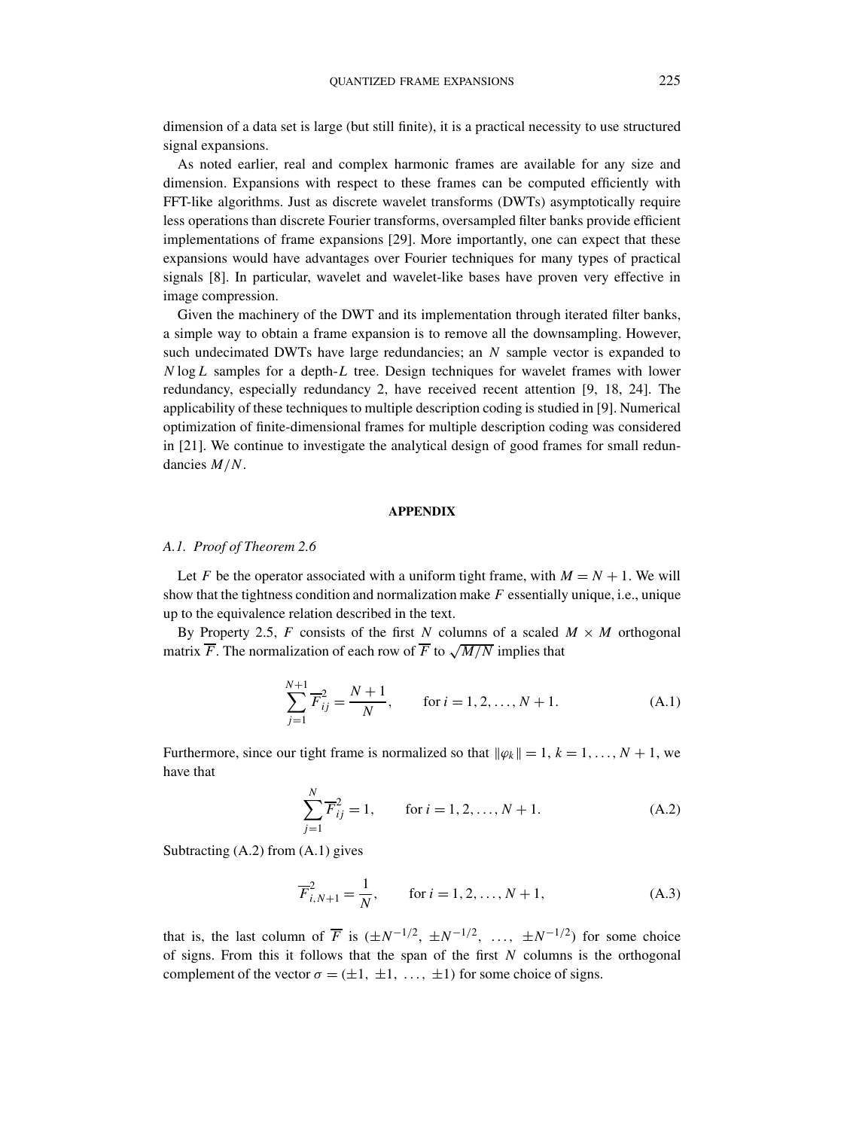dimension of a data set is large (but still finite), it is a practical necessity to use structured signal expansions.

As noted earlier, real and complex harmonic frames are available for any size and dimension. Expansions with respect to these frames can be computed efficiently with FFT-like algorithms. Just as discrete wavelet transforms (DWTs) asymptotically require less operations than discrete Fourier transforms, oversampled filter banks provide efficient implementations of frame expansions [29]. More importantly, one can expect that these expansions would have advantages over Fourier techniques for many types of practical signals [8]. In particular, wavelet and wavelet-like bases have proven very effective in image compression.

Given the machinery of the DWT and its implementation through iterated filter banks, a simple way to obtain a frame expansion is to remove all the downsampling. However, such undecimated DWTs have large redundancies; an *N* sample vector is expanded to *N* log*L* samples for a depth-*L* tree. Design techniques for wavelet frames with lower redundancy, especially redundancy 2, have received recent attention [9, 18, 24]. The applicability of these techniques to multiple description coding is studied in [9]. Numerical optimization of finite-dimensional frames for multiple description coding was considered in [21]. We continue to investigate the analytical design of good frames for small redundancies *M/N*.

#### **APPENDIX**

#### *A.1. Proof of Theorem 2.6*

Let *F* be the operator associated with a uniform tight frame, with  $M = N + 1$ . We will show that the tightness condition and normalization make *F* essentially unique, i.e., unique up to the equivalence relation described in the text.

By Property 2.5, *F* consists of the first *N* columns of a scaled  $M \times M$  orthogonal matrix  $\overline{F}$ . The normalization of each row of  $\overline{F}$  to  $\sqrt{M/N}$  implies that

$$
\sum_{j=1}^{N+1} \overline{F}_{ij}^2 = \frac{N+1}{N}, \qquad \text{for } i = 1, 2, ..., N+1.
$$
 (A.1)

Furthermore, since our tight frame is normalized so that  $\|\varphi_k\| = 1, k = 1, \ldots, N + 1$ , we have that

$$
\sum_{j=1}^{N} \overline{F}_{ij}^{2} = 1, \quad \text{for } i = 1, 2, ..., N+1.
$$
 (A.2)

Subtracting (A.2) from (A.1) gives

$$
\overline{F}_{i,N+1}^{2} = \frac{1}{N}, \qquad \text{for } i = 1, 2, ..., N+1,
$$
 (A.3)

that is, the last column of  $\overline{F}$  is  $(\pm N^{-1/2}, \pm N^{-1/2}, \ldots, \pm N^{-1/2})$  for some choice of signs. From this it follows that the span of the first *N* columns is the orthogonal complement of the vector  $\sigma = (\pm 1, \pm 1, \ldots, \pm 1)$  for some choice of signs.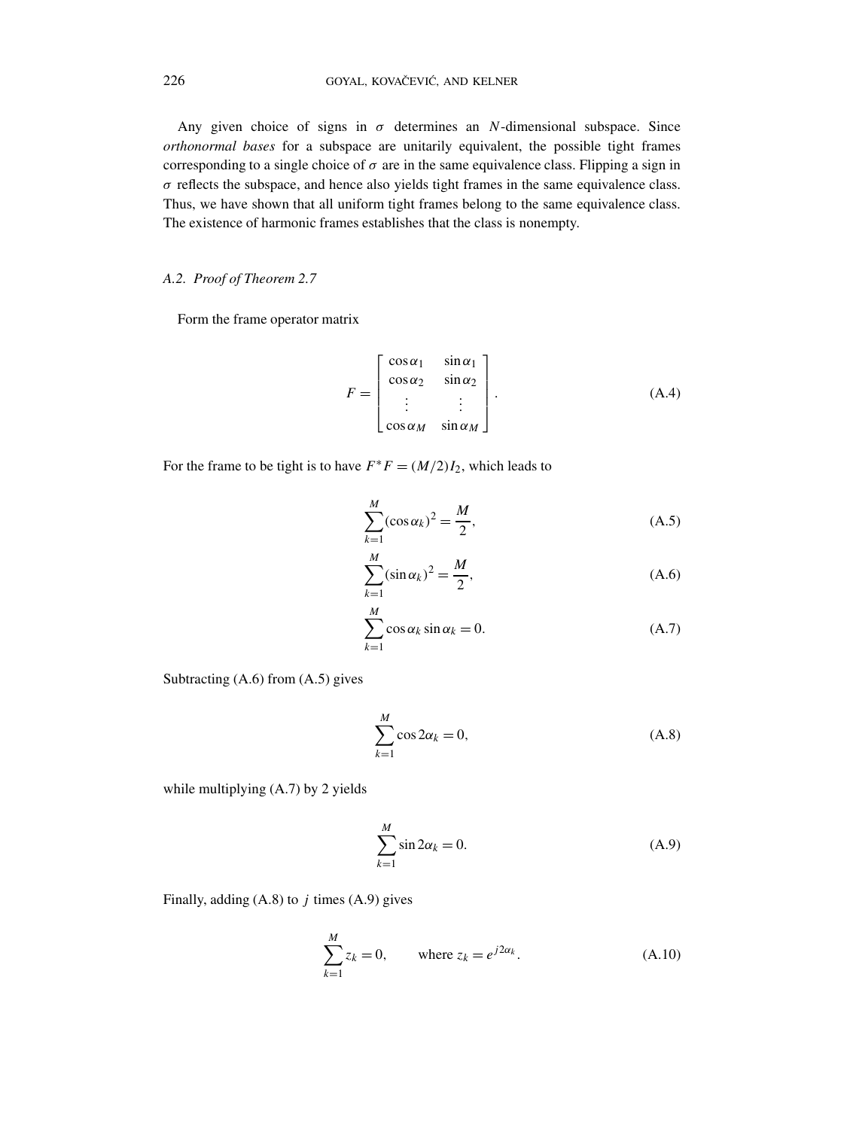Any given choice of signs in  $\sigma$  determines an *N*-dimensional subspace. Since *orthonormal bases* for a subspace are unitarily equivalent, the possible tight frames corresponding to a single choice of  $\sigma$  are in the same equivalence class. Flipping a sign in  $\sigma$  reflects the subspace, and hence also yields tight frames in the same equivalence class. Thus, we have shown that all uniform tight frames belong to the same equivalence class. The existence of harmonic frames establishes that the class is nonempty.

## *A.2. Proof of Theorem 2.7*

Form the frame operator matrix

$$
F = \begin{bmatrix} \cos \alpha_1 & \sin \alpha_1 \\ \cos \alpha_2 & \sin \alpha_2 \\ \vdots & \vdots \\ \cos \alpha_M & \sin \alpha_M \end{bmatrix} .
$$
 (A.4)

For the frame to be tight is to have  $F^*F = (M/2)I_2$ , which leads to

$$
\sum_{k=1}^{M} (\cos \alpha_k)^2 = \frac{M}{2},
$$
\n(A.5)

$$
\sum_{k=1}^{M} (\sin \alpha_k)^2 = \frac{M}{2},
$$
\n(A.6)

$$
\sum_{k=1}^{M} \cos \alpha_k \sin \alpha_k = 0.
$$
 (A.7)

Subtracting (A.6) from (A.5) gives

$$
\sum_{k=1}^{M} \cos 2\alpha_k = 0,
$$
\n(A.8)

while multiplying (A.7) by 2 yields

$$
\sum_{k=1}^{M} \sin 2\alpha_k = 0.
$$
\n(A.9)

Finally, adding (A.8) to *j* times (A.9) gives

$$
\sum_{k=1}^{M} z_k = 0, \qquad \text{where } z_k = e^{j2\alpha_k}.
$$
 (A.10)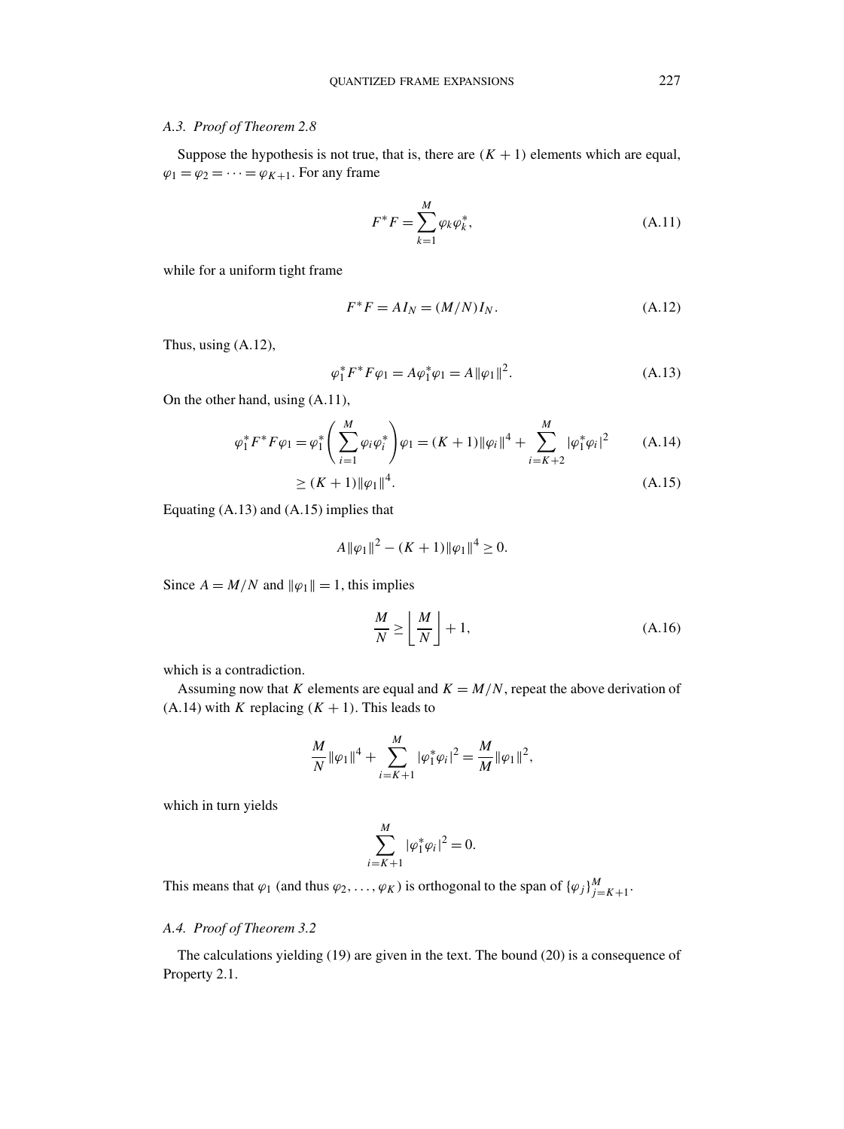## *A.3. Proof of Theorem 2.8*

Suppose the hypothesis is not true, that is, there are  $(K + 1)$  elements which are equal,  $\varphi_1 = \varphi_2 = \cdots = \varphi_{K+1}$ . For any frame

$$
F^*F = \sum_{k=1}^M \varphi_k \varphi_k^*,\tag{A.11}
$$

while for a uniform tight frame

$$
F^*F = A I_N = (M/N)I_N.
$$
\n(A.12)

Thus, using (A.12),

$$
\varphi_1^* F^* F \varphi_1 = A \varphi_1^* \varphi_1 = A ||\varphi_1||^2.
$$
 (A.13)

On the other hand, using (A.11),

$$
\varphi_1^* F^* F \varphi_1 = \varphi_1^* \left( \sum_{i=1}^M \varphi_i \varphi_i^* \right) \varphi_1 = (K+1) \|\varphi_i\|^4 + \sum_{i=K+2}^M |\varphi_1^* \varphi_i|^2 \tag{A.14}
$$
  
 
$$
\ge (K+1) \|\varphi_1\|^4. \tag{A.15}
$$

Equating (A.13) and (A.15) implies that

$$
A\|\varphi_1\|^2 - (K+1)\|\varphi_1\|^4 \ge 0.
$$

Since  $A = M/N$  and  $\|\varphi_1\| = 1$ , this implies

$$
\frac{M}{N} \ge \left\lfloor \frac{M}{N} \right\rfloor + 1,\tag{A.16}
$$

which is a contradiction.

Assuming now that *K* elements are equal and  $K = M/N$ , repeat the above derivation of  $(A.14)$  with *K* replacing  $(K + 1)$ . This leads to

$$
\frac{M}{N} \|\varphi_1\|^4 + \sum_{i=K+1}^M |\varphi_1^* \varphi_i|^2 = \frac{M}{M} \|\varphi_1\|^2,
$$

which in turn yields

$$
\sum_{i=K+1}^{M} |\varphi_1^* \varphi_i|^2 = 0.
$$

This means that  $\varphi_1$  (and thus  $\varphi_2, \ldots, \varphi_K$ ) is orthogonal to the span of  $\{\varphi_j\}_{j=K+1}^M$ .

## *A.4. Proof of Theorem 3.2*

The calculations yielding (19) are given in the text. The bound (20) is a consequence of Property 2.1.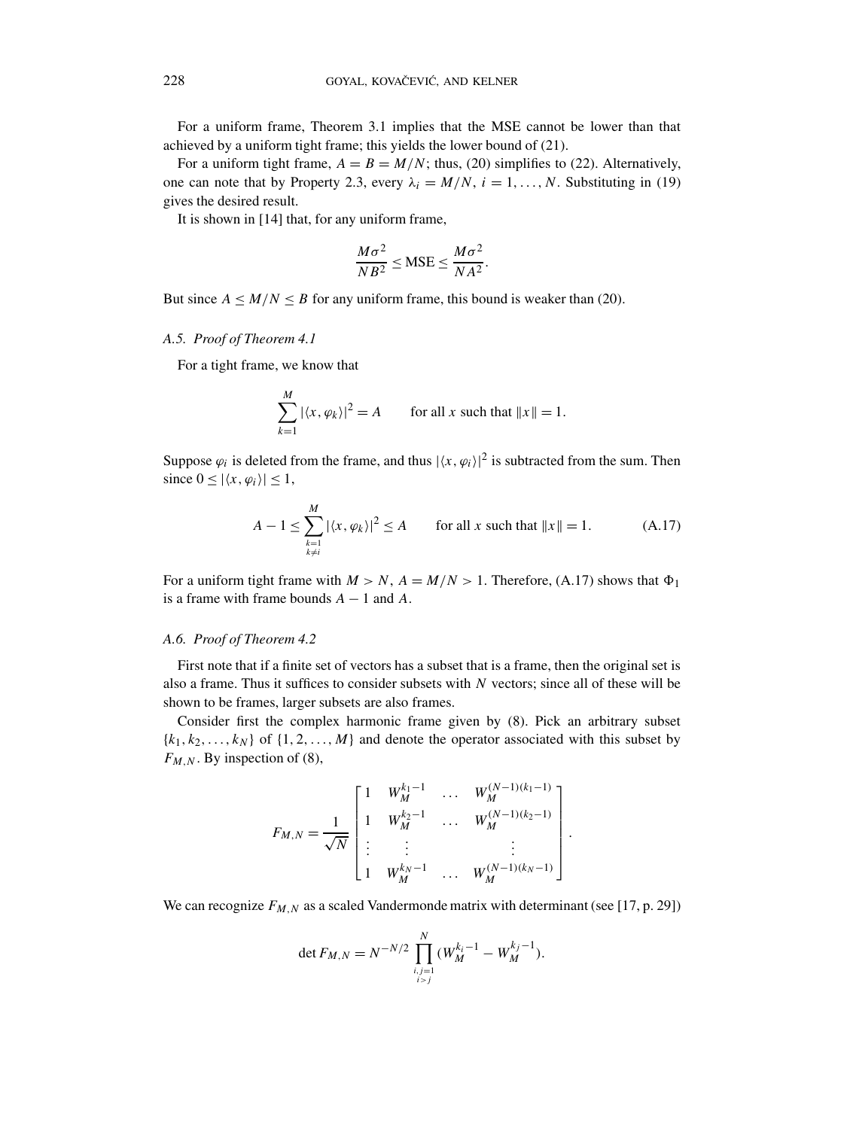For a uniform frame, Theorem 3.1 implies that the MSE cannot be lower than that achieved by a uniform tight frame; this yields the lower bound of (21).

For a uniform tight frame,  $A = B = M/N$ ; thus, (20) simplifies to (22). Alternatively, one can note that by Property 2.3, every  $\lambda_i = M/N$ ,  $i = 1, \ldots, N$ . Substituting in (19) gives the desired result.

It is shown in [14] that, for any uniform frame,

$$
\frac{M\sigma^2}{NB^2} \leq \text{MSE} \leq \frac{M\sigma^2}{NA^2}.
$$

But since  $A \leq M/N \leq B$  for any uniform frame, this bound is weaker than (20).

### *A.5. Proof of Theorem 4.1*

For a tight frame, we know that

*M*

$$
\sum_{k=1}^{M} |\langle x, \varphi_k \rangle|^2 = A \qquad \text{for all } x \text{ such that } ||x|| = 1.
$$

Suppose  $\varphi_i$  is deleted from the frame, and thus  $|\langle x, \varphi_i \rangle|^2$  is subtracted from the sum. Then since  $0 < |\langle x, \varphi_i \rangle| < 1$ ,

$$
A - 1 \le \sum_{\substack{k=1 \\ k \ne i}}^M |\langle x, \varphi_k \rangle|^2 \le A \qquad \text{for all } x \text{ such that } \|x\| = 1. \tag{A.17}
$$

For a uniform tight frame with  $M > N$ ,  $A = M/N > 1$ . Therefore, (A.17) shows that  $\Phi_1$ is a frame with frame bounds  $A - 1$  and  $A$ .

## *A.6. Proof of Theorem 4.2*

First note that if a finite set of vectors has a subset that is a frame, then the original set is also a frame. Thus it suffices to consider subsets with *N* vectors; since all of these will be shown to be frames, larger subsets are also frames.

Consider first the complex harmonic frame given by (8). Pick an arbitrary subset  $\{k_1, k_2, \ldots, k_N\}$  of  $\{1, 2, \ldots, M\}$  and denote the operator associated with this subset by  $F_{M,N}$ . By inspection of (8),

$$
F_{M,N} = \frac{1}{\sqrt{N}} \begin{bmatrix} 1 & W_M^{k_1-1} & \cdots & W_M^{(N-1)(k_1-1)} \\ 1 & W_M^{k_2-1} & \cdots & W_M^{(N-1)(k_2-1)} \\ \vdots & \vdots & & \vdots \\ 1 & W_M^{k_N-1} & \cdots & W_M^{(N-1)(k_N-1)} \end{bmatrix}.
$$

We can recognize  $F_{M,N}$  as a scaled Vandermonde matrix with determinant (see [17, p. 29])

$$
\det F_{M,N} = N^{-N/2} \prod_{\substack{i,j=1\\i>j}}^N (W_M^{k_i-1} - W_M^{k_j-1}).
$$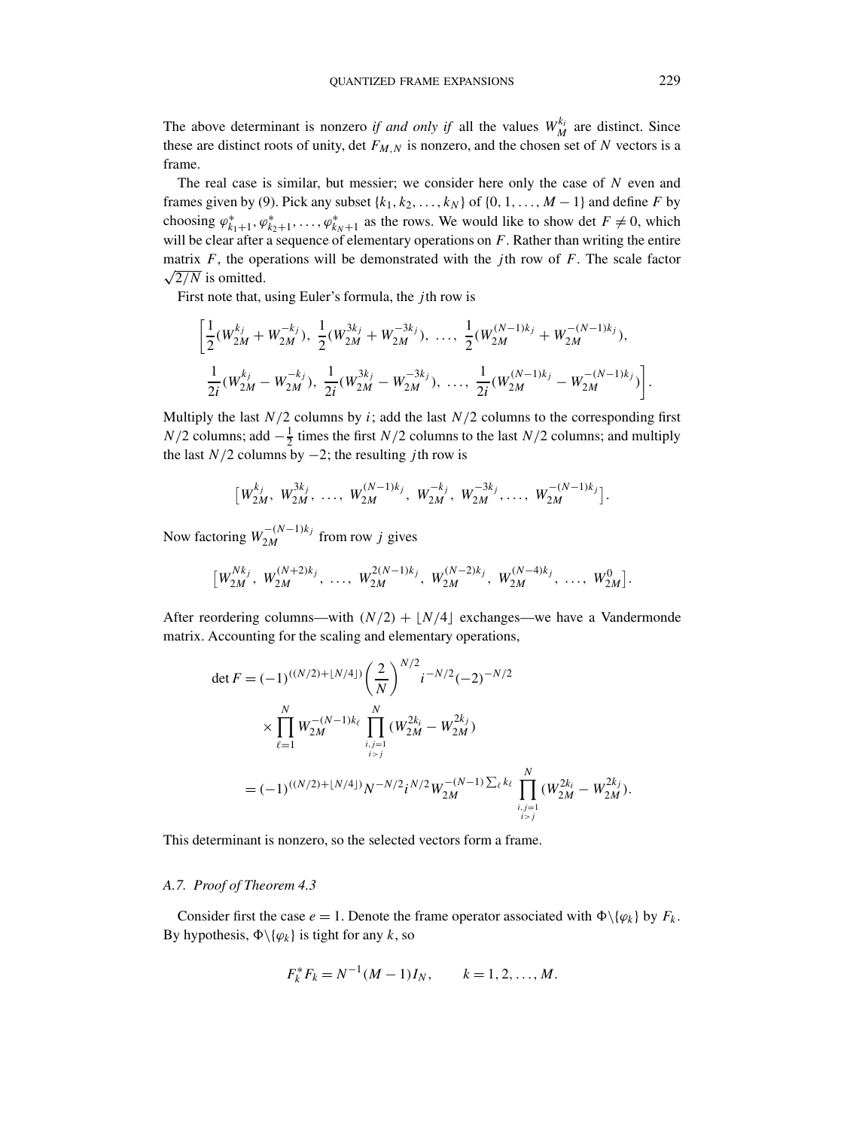The above determinant is nonzero *if and only if* all the values  $W_M^{k_i}$  are distinct. Since these are distinct roots of unity, det  $F_{M,N}$  is nonzero, and the chosen set of N vectors is a frame.

The real case is similar, but messier; we consider here only the case of *N* even and frames given by (9). Pick any subset  $\{k_1, k_2, \ldots, k_N\}$  of  $\{0, 1, \ldots, M-1\}$  and define *F* by choosing  $\varphi_{k_1+1}^*, \varphi_{k_2+1}^*, \ldots, \varphi_{k_N+1}^*$  as the rows. We would like to show det  $F \neq 0$ , which will be clear after a sequence of elementary operations on *F*. Rather than writing the entire matrix  $F$ , the operations will be demonstrated with the *j*th row of  $F$ . The scale factor  $\sqrt{2/N}$  is omitted.

First note that, using Euler's formula, the *j* th row is

$$
\left[\frac{1}{2}(W_{2M}^{k_j} + W_{2M}^{-k_j}), \frac{1}{2}(W_{2M}^{3k_j} + W_{2M}^{-3k_j}), \dots, \frac{1}{2}(W_{2M}^{(N-1)k_j} + W_{2M}^{-(N-1)k_j}),\right]
$$
  

$$
\frac{1}{2i}(W_{2M}^{k_j} - W_{2M}^{-k_j}), \frac{1}{2i}(W_{2M}^{3k_j} - W_{2M}^{-3k_j}), \dots, \frac{1}{2i}(W_{2M}^{(N-1)k_j} - W_{2M}^{-(N-1)k_j})\right].
$$

Multiply the last  $N/2$  columns by *i*; add the last  $N/2$  columns to the corresponding first *N/*2 columns; add  $-\frac{1}{2}$  times the first *N/*2 columns to the last *N/*2 columns; and multiply the last *N/*2 columns by −2; the resulting *j* th row is

$$
\left[W_{2M}^{k_j}, W_{2M}^{3k_j}, \ldots, W_{2M}^{(N-1)k_j}, W_{2M}^{-k_j}, W_{2M}^{-3k_j}, \ldots, W_{2M}^{-(N-1)k_j}\right].
$$

Now factoring  $W_{2M}^{-(N-1)k_j}$  from row *j* gives

$$
\left[W_{2M}^{Nk_j}, W_{2M}^{(N+2)k_j}, \ldots, W_{2M}^{2(N-1)k_j}, W_{2M}^{(N-2)k_j}, W_{2M}^{(N-4)k_j}, \ldots, W_{2M}^0\right].
$$

After reordering columns—with  $(N/2)$  +  $N/4$  exchanges—we have a Vandermonde matrix. Accounting for the scaling and elementary operations,

$$
\det F = (-1)^{((N/2)+\lfloor N/4\rfloor)} \left(\frac{2}{N}\right)^{N/2} i^{-N/2} (-2)^{-N/2}
$$
  

$$
\times \prod_{\ell=1}^N W_{2M}^{-(N-1)k_\ell} \prod_{\substack{i,j=1 \ i>j}}^N (W_{2M}^{2k_i} - W_{2M}^{2k_j})
$$
  

$$
= (-1)^{((N/2)+\lfloor N/4\rfloor)} N^{-N/2} i^{N/2} W_{2M}^{-(N-1) \sum_{\ell} k_\ell} \prod_{\substack{i,j=1 \ i>j}}^N (W_{2M}^{2k_i} - W_{2M}^{2k_j}).
$$

This determinant is nonzero, so the selected vectors form a frame.

## *A.7. Proof of Theorem 4.3*

Consider first the case  $e = 1$ . Denote the frame operator associated with  $\Phi \setminus \{\varphi_k\}$  by  $F_k$ . By hypothesis,  $\Phi \setminus \{ \varphi_k \}$  is tight for any *k*, so

$$
F_k^* F_k = N^{-1} (M - 1) I_N, \qquad k = 1, 2, ..., M.
$$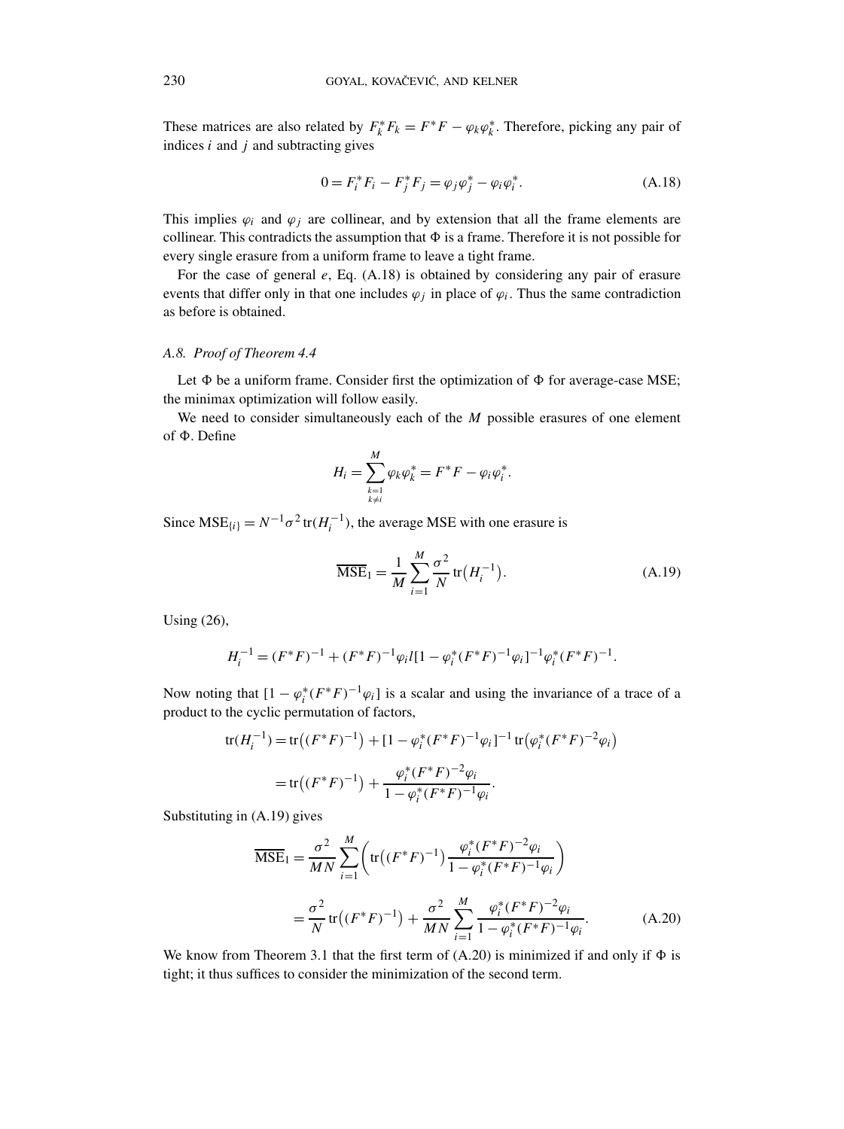These matrices are also related by  $F_k^* F_k = F^* F - \varphi_k \varphi_k^*$ . Therefore, picking any pair of indices *i* and *j* and subtracting gives

$$
0 = F_i^* F_i - F_j^* F_j = \varphi_j \varphi_j^* - \varphi_i \varphi_i^*.
$$
 (A.18)

This implies  $\varphi_i$  and  $\varphi_j$  are collinear, and by extension that all the frame elements are collinear. This contradicts the assumption that  $\Phi$  is a frame. Therefore it is not possible for every single erasure from a uniform frame to leave a tight frame.

For the case of general *e*, Eq. (A.18) is obtained by considering any pair of erasure events that differ only in that one includes  $\varphi_i$  in place of  $\varphi_i$ . Thus the same contradiction as before is obtained.

## *A.8. Proof of Theorem 4.4*

Let  $\Phi$  be a uniform frame. Consider first the optimization of  $\Phi$  for average-case MSE; the minimax optimization will follow easily.

We need to consider simultaneously each of the *M* possible erasures of one element of  $\Phi$ . Define

$$
H_i=\sum_{\substack{k=1\\k\neq i}}^M\varphi_k\varphi_k^*=F^*F-\varphi_i\varphi_i^*.
$$

Since  $MSE_{\{i\}} = N^{-1} \sigma^2 \text{tr}(H_i^{-1})$ , the average MSE with one erasure is

$$
\overline{\text{MSE}}_1 = \frac{1}{M} \sum_{i=1}^{M} \frac{\sigma^2}{N} \text{tr}(H_i^{-1}).
$$
 (A.19)

Using (26),

$$
H_i^{-1} = (F^*F)^{-1} + (F^*F)^{-1} \varphi_i l [1 - \varphi_i^* (F^*F)^{-1} \varphi_i]^{-1} \varphi_i^* (F^*F)^{-1}.
$$

Now noting that  $[1 - \varphi_i^*(F^*F)^{-1}\varphi_i]$  is a scalar and using the invariance of a trace of a product to the cyclic permutation of factors,

tr(
$$
H_i^{-1}
$$
) = tr( $(F^*F)^{-1}$ ) +  $[1 - \varphi_i^*(F^*F)^{-1}\varphi_i]^{-1}$  tr( $\varphi_i^*(F^*F)^{-2}\varphi_i$ )  
= tr( $(F^*F)^{-1}$ ) +  $\frac{\varphi_i^*(F^*F)^{-2}\varphi_i}{1 - \varphi_i^*(F^*F)^{-1}\varphi_i}$ .

Substituting in (A.19) gives

$$
\overline{\text{MSE}}_1 = \frac{\sigma^2}{MN} \sum_{i=1}^M \left( \text{tr}\left( (F^*F)^{-1} \right) \frac{\varphi_i^*(F^*F)^{-2} \varphi_i}{1 - \varphi_i^*(F^*F)^{-1} \varphi_i} \right)
$$
\n
$$
= \frac{\sigma^2}{N} \text{tr}\left( (F^*F)^{-1} \right) + \frac{\sigma^2}{MN} \sum_{i=1}^M \frac{\varphi_i^*(F^*F)^{-2} \varphi_i}{1 - \varphi_i^*(F^*F)^{-1} \varphi_i}.
$$
\n(A.20)

We know from Theorem 3.1 that the first term of  $(A.20)$  is minimized if and only if  $\Phi$  is tight; it thus suffices to consider the minimization of the second term.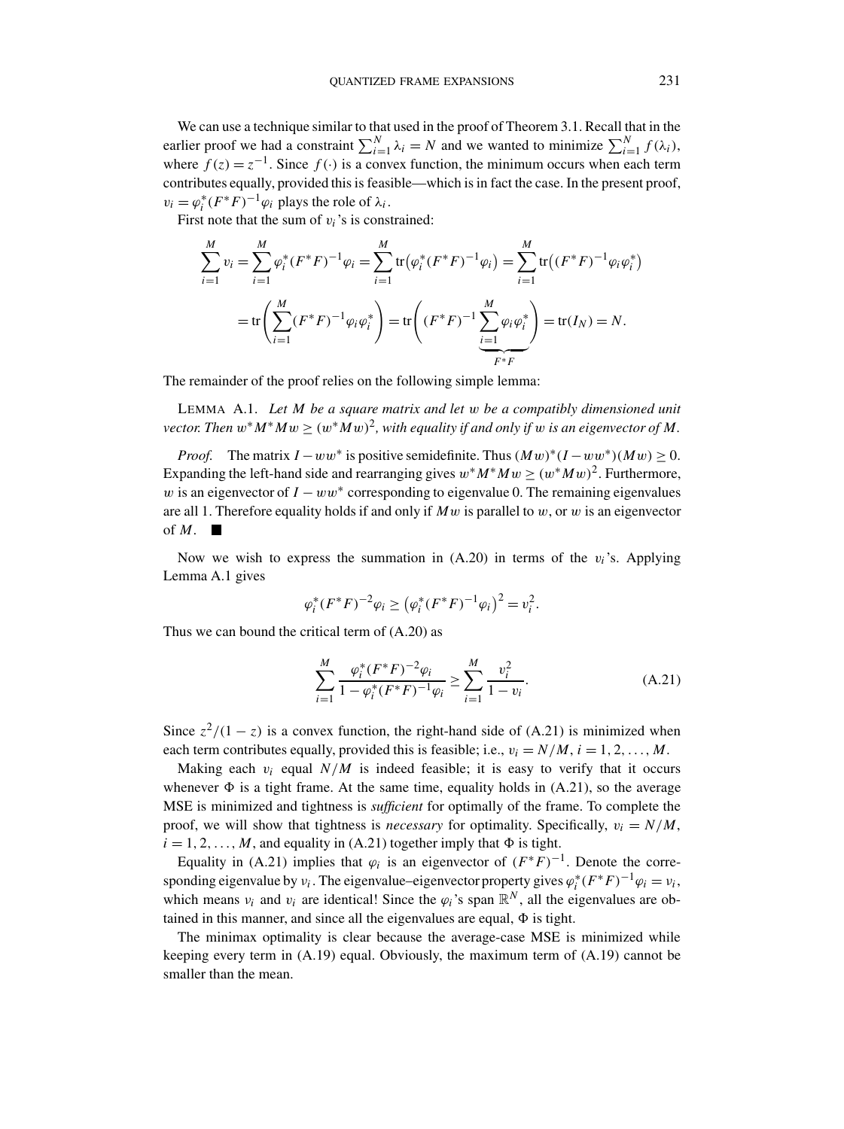We can use a technique similar to that used in the proof of Theorem 3.1. Recall that in the earlier proof we had a constraint  $\sum_{i=1}^{N} \lambda_i = N$  and we wanted to minimize  $\sum_{i=1}^{N} f(\lambda_i)$ , where  $f(z) = z^{-1}$ . Since  $f(\cdot)$  is a convex function, the minimum occurs when each term contributes equally, provided this is feasible—which is in fact the case. In the present proof,  $v_i = \varphi_i^*(F^*F)^{-1}\varphi_i$  plays the role of  $\lambda_i$ .

First note that the sum of  $v_i$ 's is constrained:

$$
\sum_{i=1}^{M} v_i = \sum_{i=1}^{M} \varphi_i^*(F^*F)^{-1} \varphi_i = \sum_{i=1}^{M} \text{tr}(\varphi_i^*(F^*F)^{-1} \varphi_i) = \sum_{i=1}^{M} \text{tr}((F^*F)^{-1} \varphi_i \varphi_i^*)
$$

$$
= \text{tr}\left(\sum_{i=1}^{M} (F^*F)^{-1} \varphi_i \varphi_i^*\right) = \text{tr}\left((F^*F)^{-1} \sum_{\underbrace{i=1}^{M} \varphi_i \varphi_i^*}\right) = \text{tr}(I_N) = N.
$$

The remainder of the proof relies on the following simple lemma:

LEMMA A.1. *Let M be a square matrix and let w be a compatibly dimensioned unit vector. Then*  $w^*M^*Mw \geq (w^*Mw)^2$ , with equality if and only if w is an eigenvector of M.

*Proof.* The matrix  $I - ww^*$  is positive semidefinite. Thus  $(Mw)^*(I - ww^*)(Mw) > 0$ . Expanding the left-hand side and rearranging gives  $w^*M^*Mw \ge (w^*Mw)^2$ . Furthermore, *w* is an eigenvector of  $I - ww*$  corresponding to eigenvalue 0. The remaining eigenvalues are all 1. Therefore equality holds if and only if *Mw* is parallel to *w*, or *w* is an eigenvector of *M.*

Now we wish to express the summation in  $(A.20)$  in terms of the  $v_i$ 's. Applying Lemma A.1 gives

$$
\varphi_i^*(F^*F)^{-2}\varphi_i \geq (\varphi_i^*(F^*F)^{-1}\varphi_i)^2 = v_i^2.
$$

Thus we can bound the critical term of (A.20) as

$$
\sum_{i=1}^{M} \frac{\varphi_i^*(F^*F)^{-2}\varphi_i}{1 - \varphi_i^*(F^*F)^{-1}\varphi_i} \ge \sum_{i=1}^{M} \frac{v_i^2}{1 - v_i}.
$$
\n(A.21)

Since  $z^2/(1-z)$  is a convex function, the right-hand side of (A.21) is minimized when each term contributes equally, provided this is feasible; i.e.,  $v_i = N/M$ ,  $i = 1, 2, \ldots, M$ .

Making each  $v_i$  equal  $N/M$  is indeed feasible; it is easy to verify that it occurs whenever  $\Phi$  is a tight frame. At the same time, equality holds in (A.21), so the average MSE is minimized and tightness is *sufficient* for optimally of the frame. To complete the proof, we will show that tightness is *necessary* for optimality. Specifically,  $v_i = N/M$ ,  $i = 1, 2, \ldots, M$ , and equality in (A.21) together imply that  $\Phi$  is tight.

Equality in (A.21) implies that  $\varphi_i$  is an eigenvector of  $(F^*F)^{-1}$ . Denote the corresponding eigenvalue by *ν<sub>i</sub>*. The eigenvalue–eigenvector property gives  $\varphi_i^*(F^*F)^{-1}\varphi_i = v_i$ , which means  $v_i$  and  $v_i$  are identical! Since the  $\varphi_i$ 's span  $\mathbb{R}^N$ , all the eigenvalues are obtained in this manner, and since all the eigenvalues are equal,  $\Phi$  is tight.

The minimax optimality is clear because the average-case MSE is minimized while keeping every term in (A.19) equal. Obviously, the maximum term of (A.19) cannot be smaller than the mean.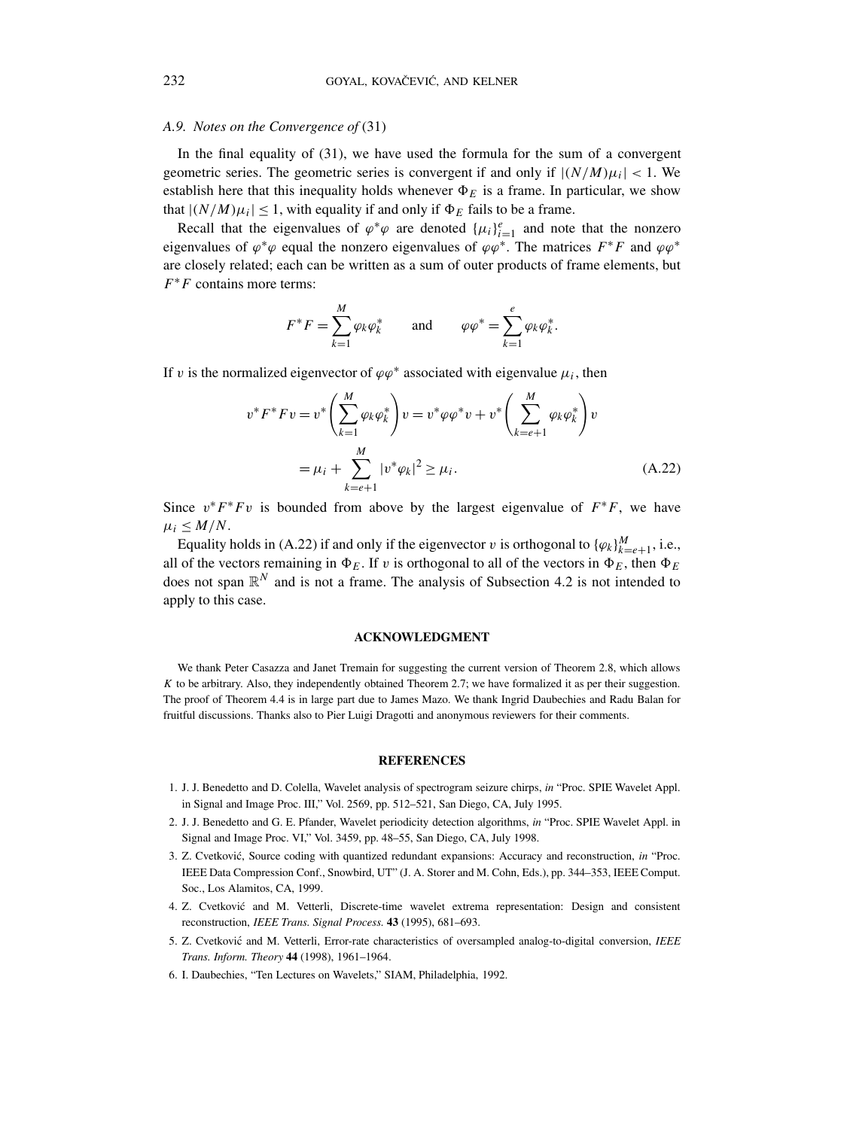# *A.9. Notes on the Convergence of* (31)

In the final equality of (31), we have used the formula for the sum of a convergent geometric series. The geometric series is convergent if and only if  $|(N/M)\mu_i| < 1$ . We establish here that this inequality holds whenever  $\Phi_F$  is a frame. In particular, we show that  $|(N/M)\mu_i| \leq 1$ , with equality if and only if  $\Phi_E$  fails to be a frame.

Recall that the eigenvalues of  $\varphi^*\varphi$  are denoted  $\{\mu_i\}_{i=1}^e$  and note that the nonzero eigenvalues of  $\varphi^* \varphi$  equal the nonzero eigenvalues of  $\varphi \varphi^*$ . The matrices  $F^*F$  and  $\varphi \varphi^*$ are closely related; each can be written as a sum of outer products of frame elements, but *F*∗*F* contains more terms:

$$
F^*F = \sum_{k=1}^M \varphi_k \varphi_k^* \quad \text{and} \quad \varphi \varphi^* = \sum_{k=1}^e \varphi_k \varphi_k^*.
$$

If *v* is the normalized eigenvector of  $\varphi \varphi^*$  associated with eigenvalue  $\mu_i$ , then

$$
v^* F^* F v = v^* \left( \sum_{k=1}^M \varphi_k \varphi_k^* \right) v = v^* \varphi \varphi^* v + v^* \left( \sum_{k=e+1}^M \varphi_k \varphi_k^* \right) v
$$
  
=  $\mu_i + \sum_{k=e+1}^M |v^* \varphi_k|^2 \ge \mu_i.$  (A.22)

Since  $v^*F^*Fv$  is bounded from above by the largest eigenvalue of  $F^*F$ , we have  $\mu_i \leq M/N$ .

Equality holds in (A.22) if and only if the eigenvector *v* is orthogonal to  ${\{\varphi_k\}}_{k=e+1}^M$ , i.e., all of the vectors remaining in  $\Phi_E$ . If *v* is orthogonal to all of the vectors in  $\Phi_E$ , then  $\Phi_E$ does not span  $\mathbb{R}^N$  and is not a frame. The analysis of Subsection 4.2 is not intended to apply to this case.

## **ACKNOWLEDGMENT**

We thank Peter Casazza and Janet Tremain for suggesting the current version of Theorem 2.8, which allows *K* to be arbitrary. Also, they independently obtained Theorem 2.7; we have formalized it as per their suggestion. The proof of Theorem 4.4 is in large part due to James Mazo. We thank Ingrid Daubechies and Radu Balan for fruitful discussions. Thanks also to Pier Luigi Dragotti and anonymous reviewers for their comments.

#### **REFERENCES**

- 1. J. J. Benedetto and D. Colella, Wavelet analysis of spectrogram seizure chirps, *in* "Proc. SPIE Wavelet Appl. in Signal and Image Proc. III," Vol. 2569, pp. 512–521, San Diego, CA, July 1995.
- 2. J. J. Benedetto and G. E. Pfander, Wavelet periodicity detection algorithms, *in* "Proc. SPIE Wavelet Appl. in Signal and Image Proc. VI," Vol. 3459, pp. 48–55, San Diego, CA, July 1998.
- 3. Z. Cvetković, Source coding with quantized redundant expansions: Accuracy and reconstruction, in "Proc. IEEE Data Compression Conf., Snowbird, UT" (J. A. Storer and M. Cohn, Eds.), pp. 344–353, IEEE Comput. Soc., Los Alamitos, CA, 1999.
- 4. Z. Cvetkovic and M. Vetterli, Discrete-time wavelet extrema representation: Design and consistent ´ reconstruction, *IEEE Trans. Signal Process.* **43** (1995), 681–693.
- 5. Z. Cvetkovic and M. Vetterli, Error-rate characteristics of oversampled analog-to-digital conversion, ´ *IEEE Trans. Inform. Theory* **44** (1998), 1961–1964.
- 6. I. Daubechies, "Ten Lectures on Wavelets," SIAM, Philadelphia, 1992.